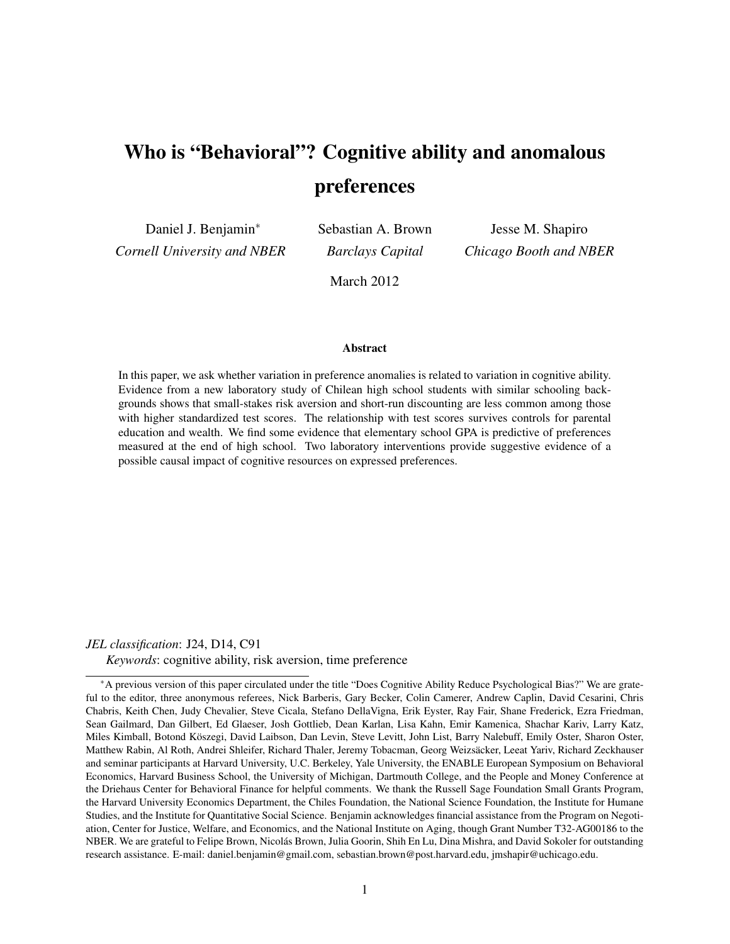# Who is "Behavioral"? Cognitive ability and anomalous preferences

Daniel J. Benjamin<sup>∗</sup> *Cornell University and NBER* Sebastian A. Brown *Barclays Capital*

Jesse M. Shapiro *Chicago Booth and NBER*

March 2012

#### Abstract

In this paper, we ask whether variation in preference anomalies is related to variation in cognitive ability. Evidence from a new laboratory study of Chilean high school students with similar schooling backgrounds shows that small-stakes risk aversion and short-run discounting are less common among those with higher standardized test scores. The relationship with test scores survives controls for parental education and wealth. We find some evidence that elementary school GPA is predictive of preferences measured at the end of high school. Two laboratory interventions provide suggestive evidence of a possible causal impact of cognitive resources on expressed preferences.

#### *JEL classification*: J24, D14, C91

*Keywords*: cognitive ability, risk aversion, time preference

<sup>∗</sup>A previous version of this paper circulated under the title "Does Cognitive Ability Reduce Psychological Bias?" We are grateful to the editor, three anonymous referees, Nick Barberis, Gary Becker, Colin Camerer, Andrew Caplin, David Cesarini, Chris Chabris, Keith Chen, Judy Chevalier, Steve Cicala, Stefano DellaVigna, Erik Eyster, Ray Fair, Shane Frederick, Ezra Friedman, Sean Gailmard, Dan Gilbert, Ed Glaeser, Josh Gottlieb, Dean Karlan, Lisa Kahn, Emir Kamenica, Shachar Kariv, Larry Katz, Miles Kimball, Botond Köszegi, David Laibson, Dan Levin, Steve Levitt, John List, Barry Nalebuff, Emily Oster, Sharon Oster, Matthew Rabin, Al Roth, Andrei Shleifer, Richard Thaler, Jeremy Tobacman, Georg Weizsäcker, Leeat Yariv, Richard Zeckhauser and seminar participants at Harvard University, U.C. Berkeley, Yale University, the ENABLE European Symposium on Behavioral Economics, Harvard Business School, the University of Michigan, Dartmouth College, and the People and Money Conference at the Driehaus Center for Behavioral Finance for helpful comments. We thank the Russell Sage Foundation Small Grants Program, the Harvard University Economics Department, the Chiles Foundation, the National Science Foundation, the Institute for Humane Studies, and the Institute for Quantitative Social Science. Benjamin acknowledges financial assistance from the Program on Negotiation, Center for Justice, Welfare, and Economics, and the National Institute on Aging, though Grant Number T32-AG00186 to the NBER. We are grateful to Felipe Brown, Nicolás Brown, Julia Goorin, Shih En Lu, Dina Mishra, and David Sokoler for outstanding research assistance. E-mail: daniel.benjamin@gmail.com, sebastian.brown@post.harvard.edu, jmshapir@uchicago.edu.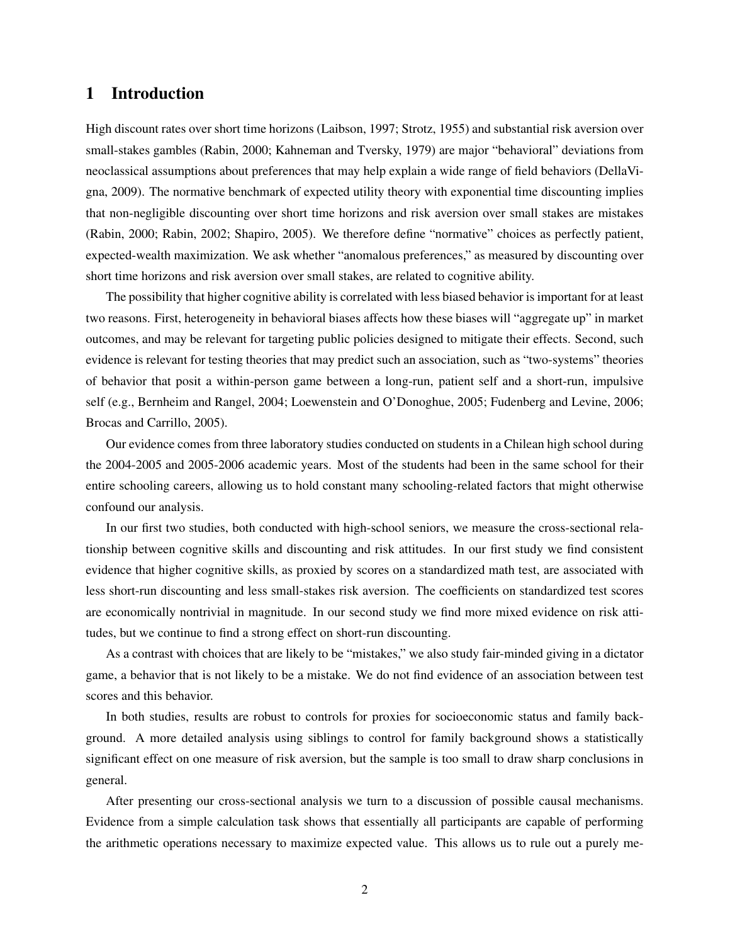# 1 Introduction

High discount rates over short time horizons (Laibson, 1997; Strotz, 1955) and substantial risk aversion over small-stakes gambles (Rabin, 2000; Kahneman and Tversky, 1979) are major "behavioral" deviations from neoclassical assumptions about preferences that may help explain a wide range of field behaviors (DellaVigna, 2009). The normative benchmark of expected utility theory with exponential time discounting implies that non-negligible discounting over short time horizons and risk aversion over small stakes are mistakes (Rabin, 2000; Rabin, 2002; Shapiro, 2005). We therefore define "normative" choices as perfectly patient, expected-wealth maximization. We ask whether "anomalous preferences," as measured by discounting over short time horizons and risk aversion over small stakes, are related to cognitive ability.

The possibility that higher cognitive ability is correlated with less biased behavior is important for at least two reasons. First, heterogeneity in behavioral biases affects how these biases will "aggregate up" in market outcomes, and may be relevant for targeting public policies designed to mitigate their effects. Second, such evidence is relevant for testing theories that may predict such an association, such as "two-systems" theories of behavior that posit a within-person game between a long-run, patient self and a short-run, impulsive self (e.g., Bernheim and Rangel, 2004; Loewenstein and O'Donoghue, 2005; Fudenberg and Levine, 2006; Brocas and Carrillo, 2005).

Our evidence comes from three laboratory studies conducted on students in a Chilean high school during the 2004-2005 and 2005-2006 academic years. Most of the students had been in the same school for their entire schooling careers, allowing us to hold constant many schooling-related factors that might otherwise confound our analysis.

In our first two studies, both conducted with high-school seniors, we measure the cross-sectional relationship between cognitive skills and discounting and risk attitudes. In our first study we find consistent evidence that higher cognitive skills, as proxied by scores on a standardized math test, are associated with less short-run discounting and less small-stakes risk aversion. The coefficients on standardized test scores are economically nontrivial in magnitude. In our second study we find more mixed evidence on risk attitudes, but we continue to find a strong effect on short-run discounting.

As a contrast with choices that are likely to be "mistakes," we also study fair-minded giving in a dictator game, a behavior that is not likely to be a mistake. We do not find evidence of an association between test scores and this behavior.

In both studies, results are robust to controls for proxies for socioeconomic status and family background. A more detailed analysis using siblings to control for family background shows a statistically significant effect on one measure of risk aversion, but the sample is too small to draw sharp conclusions in general.

After presenting our cross-sectional analysis we turn to a discussion of possible causal mechanisms. Evidence from a simple calculation task shows that essentially all participants are capable of performing the arithmetic operations necessary to maximize expected value. This allows us to rule out a purely me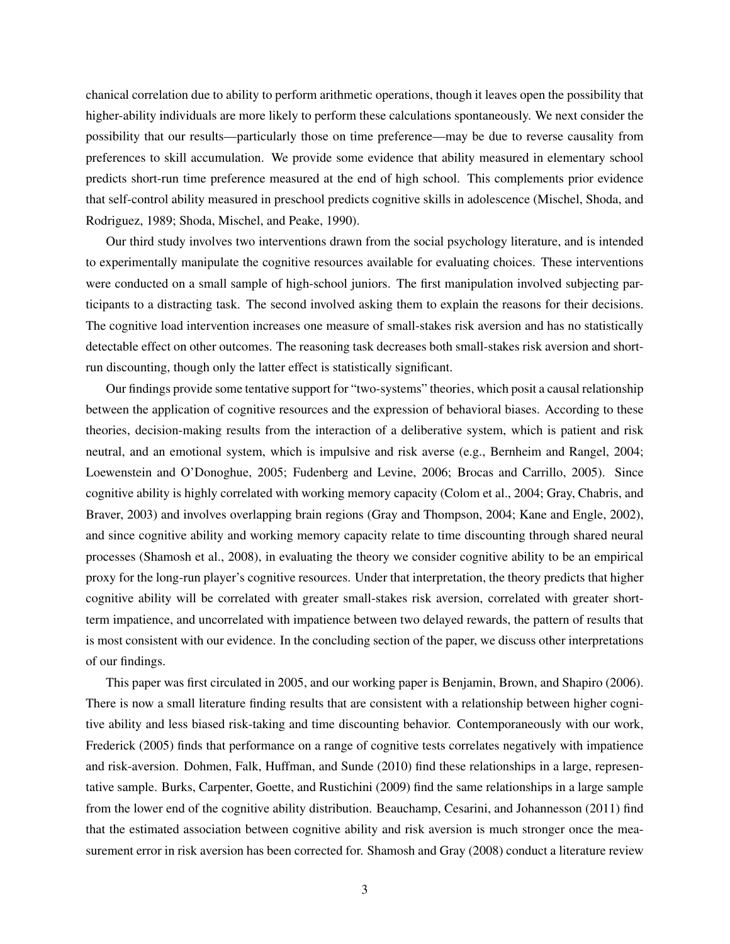chanical correlation due to ability to perform arithmetic operations, though it leaves open the possibility that higher-ability individuals are more likely to perform these calculations spontaneously. We next consider the possibility that our results—particularly those on time preference—may be due to reverse causality from preferences to skill accumulation. We provide some evidence that ability measured in elementary school predicts short-run time preference measured at the end of high school. This complements prior evidence that self-control ability measured in preschool predicts cognitive skills in adolescence (Mischel, Shoda, and Rodriguez, 1989; Shoda, Mischel, and Peake, 1990).

Our third study involves two interventions drawn from the social psychology literature, and is intended to experimentally manipulate the cognitive resources available for evaluating choices. These interventions were conducted on a small sample of high-school juniors. The first manipulation involved subjecting participants to a distracting task. The second involved asking them to explain the reasons for their decisions. The cognitive load intervention increases one measure of small-stakes risk aversion and has no statistically detectable effect on other outcomes. The reasoning task decreases both small-stakes risk aversion and shortrun discounting, though only the latter effect is statistically significant.

Our findings provide some tentative support for "two-systems" theories, which posit a causal relationship between the application of cognitive resources and the expression of behavioral biases. According to these theories, decision-making results from the interaction of a deliberative system, which is patient and risk neutral, and an emotional system, which is impulsive and risk averse (e.g., Bernheim and Rangel, 2004; Loewenstein and O'Donoghue, 2005; Fudenberg and Levine, 2006; Brocas and Carrillo, 2005). Since cognitive ability is highly correlated with working memory capacity (Colom et al., 2004; Gray, Chabris, and Braver, 2003) and involves overlapping brain regions (Gray and Thompson, 2004; Kane and Engle, 2002), and since cognitive ability and working memory capacity relate to time discounting through shared neural processes (Shamosh et al., 2008), in evaluating the theory we consider cognitive ability to be an empirical proxy for the long-run player's cognitive resources. Under that interpretation, the theory predicts that higher cognitive ability will be correlated with greater small-stakes risk aversion, correlated with greater shortterm impatience, and uncorrelated with impatience between two delayed rewards, the pattern of results that is most consistent with our evidence. In the concluding section of the paper, we discuss other interpretations of our findings.

This paper was first circulated in 2005, and our working paper is Benjamin, Brown, and Shapiro (2006). There is now a small literature finding results that are consistent with a relationship between higher cognitive ability and less biased risk-taking and time discounting behavior. Contemporaneously with our work, Frederick (2005) finds that performance on a range of cognitive tests correlates negatively with impatience and risk-aversion. Dohmen, Falk, Huffman, and Sunde (2010) find these relationships in a large, representative sample. Burks, Carpenter, Goette, and Rustichini (2009) find the same relationships in a large sample from the lower end of the cognitive ability distribution. Beauchamp, Cesarini, and Johannesson (2011) find that the estimated association between cognitive ability and risk aversion is much stronger once the measurement error in risk aversion has been corrected for. Shamosh and Gray (2008) conduct a literature review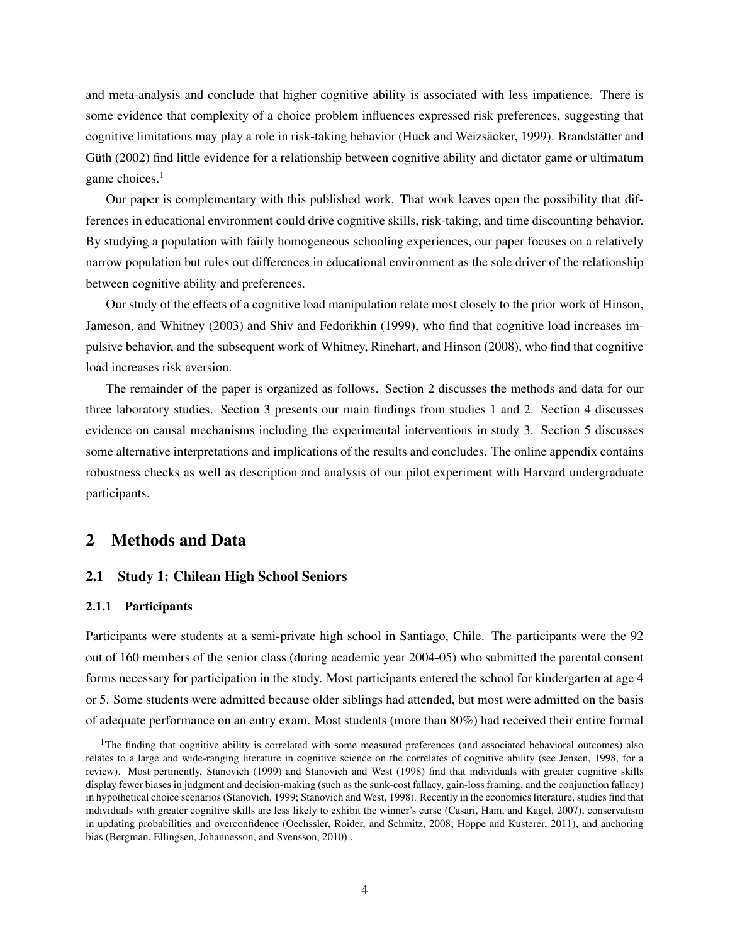and meta-analysis and conclude that higher cognitive ability is associated with less impatience. There is some evidence that complexity of a choice problem influences expressed risk preferences, suggesting that cognitive limitations may play a role in risk-taking behavior (Huck and Weizsäcker, 1999). Brandstätter and Güth (2002) find little evidence for a relationship between cognitive ability and dictator game or ultimatum game choices.<sup>1</sup>

Our paper is complementary with this published work. That work leaves open the possibility that differences in educational environment could drive cognitive skills, risk-taking, and time discounting behavior. By studying a population with fairly homogeneous schooling experiences, our paper focuses on a relatively narrow population but rules out differences in educational environment as the sole driver of the relationship between cognitive ability and preferences.

Our study of the effects of a cognitive load manipulation relate most closely to the prior work of Hinson, Jameson, and Whitney (2003) and Shiv and Fedorikhin (1999), who find that cognitive load increases impulsive behavior, and the subsequent work of Whitney, Rinehart, and Hinson (2008), who find that cognitive load increases risk aversion.

The remainder of the paper is organized as follows. Section 2 discusses the methods and data for our three laboratory studies. Section 3 presents our main findings from studies 1 and 2. Section 4 discusses evidence on causal mechanisms including the experimental interventions in study 3. Section 5 discusses some alternative interpretations and implications of the results and concludes. The online appendix contains robustness checks as well as description and analysis of our pilot experiment with Harvard undergraduate participants.

# 2 Methods and Data

## 2.1 Study 1: Chilean High School Seniors

#### 2.1.1 Participants

Participants were students at a semi-private high school in Santiago, Chile. The participants were the 92 out of 160 members of the senior class (during academic year 2004-05) who submitted the parental consent forms necessary for participation in the study. Most participants entered the school for kindergarten at age 4 or 5. Some students were admitted because older siblings had attended, but most were admitted on the basis of adequate performance on an entry exam. Most students (more than 80%) had received their entire formal

<sup>&</sup>lt;sup>1</sup>The finding that cognitive ability is correlated with some measured preferences (and associated behavioral outcomes) also relates to a large and wide-ranging literature in cognitive science on the correlates of cognitive ability (see Jensen, 1998, for a review). Most pertinently, Stanovich (1999) and Stanovich and West (1998) find that individuals with greater cognitive skills display fewer biases in judgment and decision-making (such as the sunk-cost fallacy, gain-loss framing, and the conjunction fallacy) in hypothetical choice scenarios (Stanovich, 1999; Stanovich and West, 1998). Recently in the economics literature, studies find that individuals with greater cognitive skills are less likely to exhibit the winner's curse (Casari, Ham, and Kagel, 2007), conservatism in updating probabilities and overconfidence (Oechssler, Roider, and Schmitz, 2008; Hoppe and Kusterer, 2011), and anchoring bias (Bergman, Ellingsen, Johannesson, and Svensson, 2010) .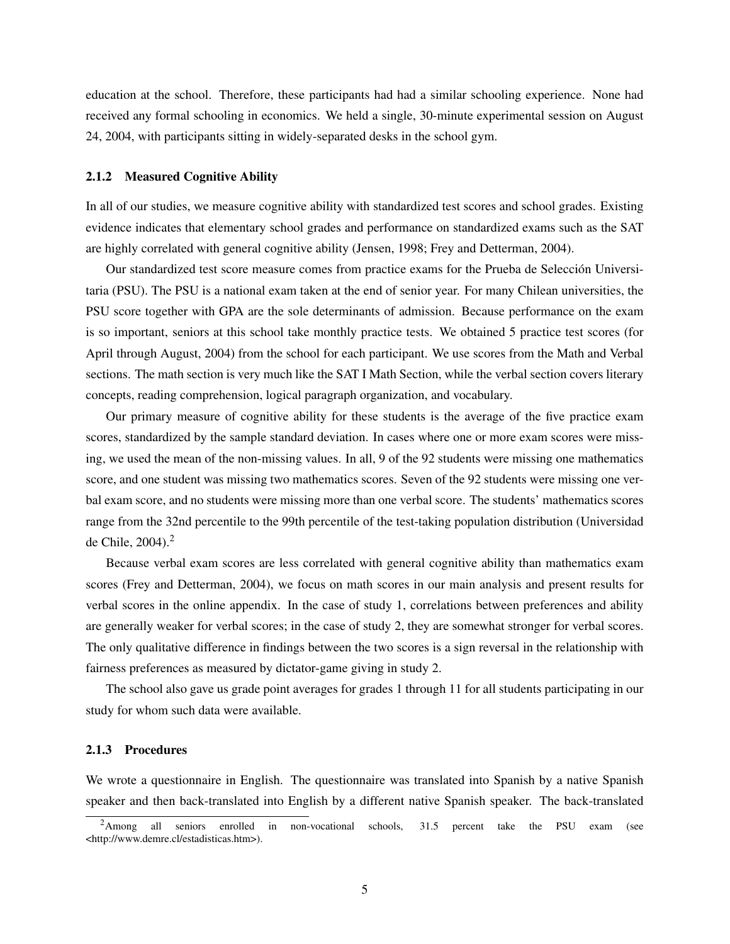education at the school. Therefore, these participants had had a similar schooling experience. None had received any formal schooling in economics. We held a single, 30-minute experimental session on August 24, 2004, with participants sitting in widely-separated desks in the school gym.

#### 2.1.2 Measured Cognitive Ability

In all of our studies, we measure cognitive ability with standardized test scores and school grades. Existing evidence indicates that elementary school grades and performance on standardized exams such as the SAT are highly correlated with general cognitive ability (Jensen, 1998; Frey and Detterman, 2004).

Our standardized test score measure comes from practice exams for the Prueba de Selección Universitaria (PSU). The PSU is a national exam taken at the end of senior year. For many Chilean universities, the PSU score together with GPA are the sole determinants of admission. Because performance on the exam is so important, seniors at this school take monthly practice tests. We obtained 5 practice test scores (for April through August, 2004) from the school for each participant. We use scores from the Math and Verbal sections. The math section is very much like the SAT I Math Section, while the verbal section covers literary concepts, reading comprehension, logical paragraph organization, and vocabulary.

Our primary measure of cognitive ability for these students is the average of the five practice exam scores, standardized by the sample standard deviation. In cases where one or more exam scores were missing, we used the mean of the non-missing values. In all, 9 of the 92 students were missing one mathematics score, and one student was missing two mathematics scores. Seven of the 92 students were missing one verbal exam score, and no students were missing more than one verbal score. The students' mathematics scores range from the 32nd percentile to the 99th percentile of the test-taking population distribution (Universidad de Chile, 2004).<sup>2</sup>

Because verbal exam scores are less correlated with general cognitive ability than mathematics exam scores (Frey and Detterman, 2004), we focus on math scores in our main analysis and present results for verbal scores in the online appendix. In the case of study 1, correlations between preferences and ability are generally weaker for verbal scores; in the case of study 2, they are somewhat stronger for verbal scores. The only qualitative difference in findings between the two scores is a sign reversal in the relationship with fairness preferences as measured by dictator-game giving in study 2.

The school also gave us grade point averages for grades 1 through 11 for all students participating in our study for whom such data were available.

#### 2.1.3 Procedures

We wrote a questionnaire in English. The questionnaire was translated into Spanish by a native Spanish speaker and then back-translated into English by a different native Spanish speaker. The back-translated

<sup>&</sup>lt;sup>2</sup>Among all seniors enrolled in non-vocational schools, 31.5 percent take the PSU exam (see <http://www.demre.cl/estadisticas.htm>).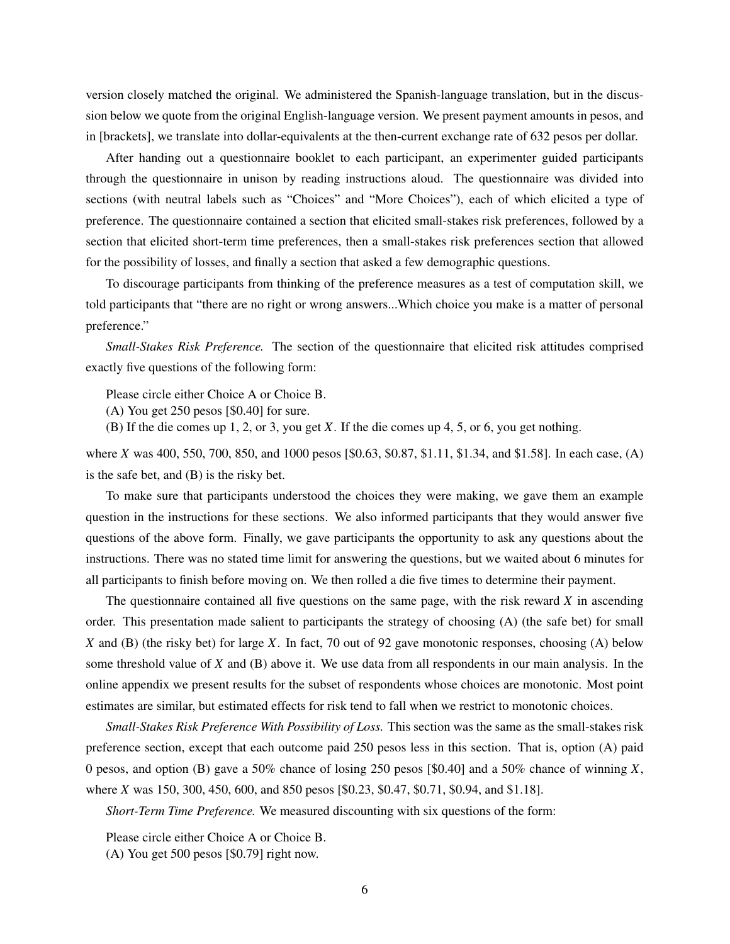version closely matched the original. We administered the Spanish-language translation, but in the discussion below we quote from the original English-language version. We present payment amounts in pesos, and in [brackets], we translate into dollar-equivalents at the then-current exchange rate of 632 pesos per dollar.

After handing out a questionnaire booklet to each participant, an experimenter guided participants through the questionnaire in unison by reading instructions aloud. The questionnaire was divided into sections (with neutral labels such as "Choices" and "More Choices"), each of which elicited a type of preference. The questionnaire contained a section that elicited small-stakes risk preferences, followed by a section that elicited short-term time preferences, then a small-stakes risk preferences section that allowed for the possibility of losses, and finally a section that asked a few demographic questions.

To discourage participants from thinking of the preference measures as a test of computation skill, we told participants that "there are no right or wrong answers...Which choice you make is a matter of personal preference."

*Small-Stakes Risk Preference.* The section of the questionnaire that elicited risk attitudes comprised exactly five questions of the following form:

Please circle either Choice A or Choice B.

(A) You get 250 pesos [\$0.40] for sure.

(B) If the die comes up 1, 2, or 3, you get *X*. If the die comes up 4, 5, or 6, you get nothing.

where *X* was 400, 550, 700, 850, and 1000 pesos [\$0.63, \$0.87, \$1.11, \$1.34, and \$1.58]. In each case, (A) is the safe bet, and (B) is the risky bet.

To make sure that participants understood the choices they were making, we gave them an example question in the instructions for these sections. We also informed participants that they would answer five questions of the above form. Finally, we gave participants the opportunity to ask any questions about the instructions. There was no stated time limit for answering the questions, but we waited about 6 minutes for all participants to finish before moving on. We then rolled a die five times to determine their payment.

The questionnaire contained all five questions on the same page, with the risk reward *X* in ascending order. This presentation made salient to participants the strategy of choosing (A) (the safe bet) for small *X* and (B) (the risky bet) for large *X*. In fact, 70 out of 92 gave monotonic responses, choosing (A) below some threshold value of *X* and (B) above it. We use data from all respondents in our main analysis. In the online appendix we present results for the subset of respondents whose choices are monotonic. Most point estimates are similar, but estimated effects for risk tend to fall when we restrict to monotonic choices.

*Small-Stakes Risk Preference With Possibility of Loss.* This section was the same as the small-stakes risk preference section, except that each outcome paid 250 pesos less in this section. That is, option (A) paid 0 pesos, and option (B) gave a 50% chance of losing 250 pesos [\$0.40] and a 50% chance of winning *X*, where *X* was 150, 300, 450, 600, and 850 pesos [\$0.23, \$0.47, \$0.71, \$0.94, and \$1.18].

*Short-Term Time Preference.* We measured discounting with six questions of the form:

Please circle either Choice A or Choice B.

(A) You get 500 pesos [\$0.79] right now.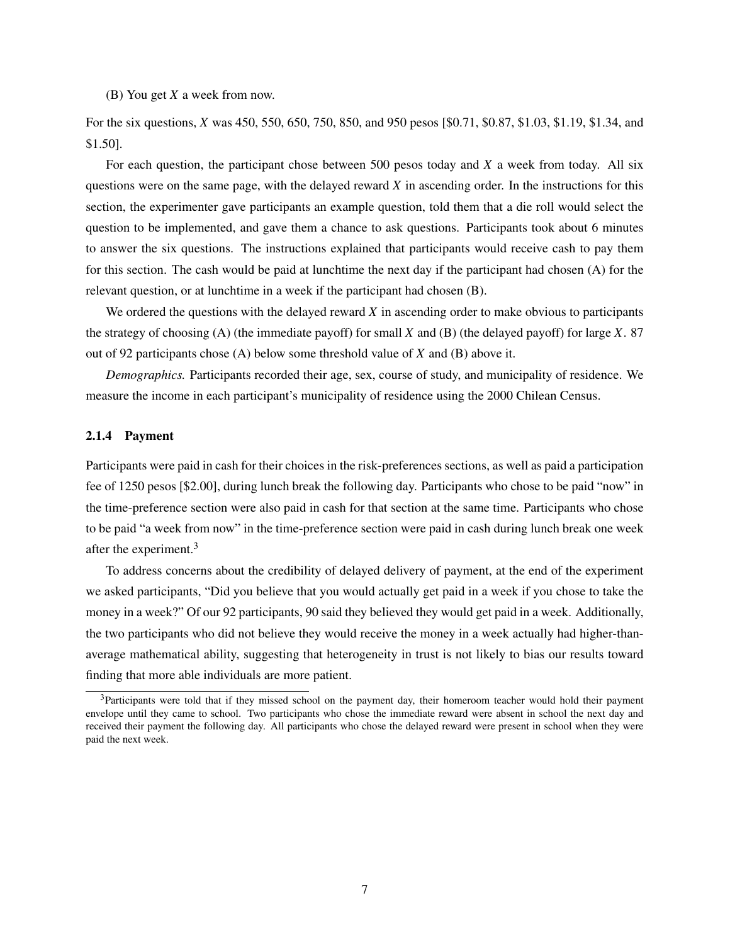(B) You get *X* a week from now.

For the six questions, *X* was 450, 550, 650, 750, 850, and 950 pesos [\$0.71, \$0.87, \$1.03, \$1.19, \$1.34, and \$1.50].

For each question, the participant chose between 500 pesos today and *X* a week from today. All six questions were on the same page, with the delayed reward *X* in ascending order. In the instructions for this section, the experimenter gave participants an example question, told them that a die roll would select the question to be implemented, and gave them a chance to ask questions. Participants took about 6 minutes to answer the six questions. The instructions explained that participants would receive cash to pay them for this section. The cash would be paid at lunchtime the next day if the participant had chosen (A) for the relevant question, or at lunchtime in a week if the participant had chosen (B).

We ordered the questions with the delayed reward *X* in ascending order to make obvious to participants the strategy of choosing (A) (the immediate payoff) for small *X* and (B) (the delayed payoff) for large *X*. 87 out of 92 participants chose (A) below some threshold value of *X* and (B) above it.

*Demographics.* Participants recorded their age, sex, course of study, and municipality of residence. We measure the income in each participant's municipality of residence using the 2000 Chilean Census.

### 2.1.4 Payment

Participants were paid in cash for their choices in the risk-preferences sections, as well as paid a participation fee of 1250 pesos [\$2.00], during lunch break the following day. Participants who chose to be paid "now" in the time-preference section were also paid in cash for that section at the same time. Participants who chose to be paid "a week from now" in the time-preference section were paid in cash during lunch break one week after the experiment.<sup>3</sup>

To address concerns about the credibility of delayed delivery of payment, at the end of the experiment we asked participants, "Did you believe that you would actually get paid in a week if you chose to take the money in a week?" Of our 92 participants, 90 said they believed they would get paid in a week. Additionally, the two participants who did not believe they would receive the money in a week actually had higher-thanaverage mathematical ability, suggesting that heterogeneity in trust is not likely to bias our results toward finding that more able individuals are more patient.

<sup>&</sup>lt;sup>3</sup>Participants were told that if they missed school on the payment day, their homeroom teacher would hold their payment envelope until they came to school. Two participants who chose the immediate reward were absent in school the next day and received their payment the following day. All participants who chose the delayed reward were present in school when they were paid the next week.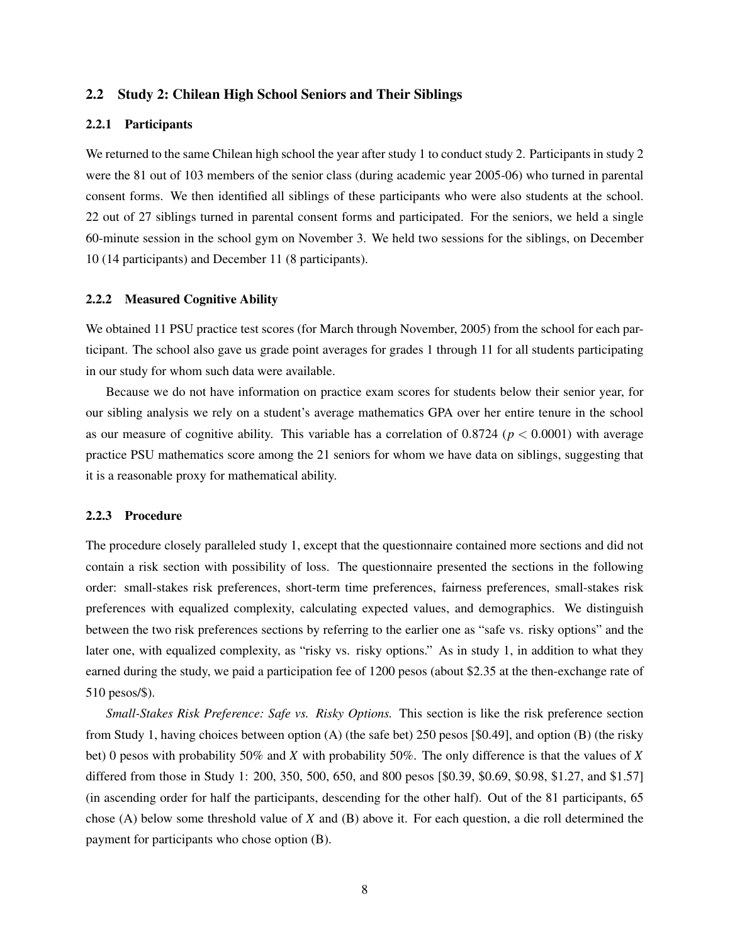#### 2.2 Study 2: Chilean High School Seniors and Their Siblings

## 2.2.1 Participants

We returned to the same Chilean high school the year after study 1 to conduct study 2. Participants in study 2 were the 81 out of 103 members of the senior class (during academic year 2005-06) who turned in parental consent forms. We then identified all siblings of these participants who were also students at the school. 22 out of 27 siblings turned in parental consent forms and participated. For the seniors, we held a single 60-minute session in the school gym on November 3. We held two sessions for the siblings, on December 10 (14 participants) and December 11 (8 participants).

#### 2.2.2 Measured Cognitive Ability

We obtained 11 PSU practice test scores (for March through November, 2005) from the school for each participant. The school also gave us grade point averages for grades 1 through 11 for all students participating in our study for whom such data were available.

Because we do not have information on practice exam scores for students below their senior year, for our sibling analysis we rely on a student's average mathematics GPA over her entire tenure in the school as our measure of cognitive ability. This variable has a correlation of  $0.8724$  ( $p < 0.0001$ ) with average practice PSU mathematics score among the 21 seniors for whom we have data on siblings, suggesting that it is a reasonable proxy for mathematical ability.

#### 2.2.3 Procedure

The procedure closely paralleled study 1, except that the questionnaire contained more sections and did not contain a risk section with possibility of loss. The questionnaire presented the sections in the following order: small-stakes risk preferences, short-term time preferences, fairness preferences, small-stakes risk preferences with equalized complexity, calculating expected values, and demographics. We distinguish between the two risk preferences sections by referring to the earlier one as "safe vs. risky options" and the later one, with equalized complexity, as "risky vs. risky options." As in study 1, in addition to what they earned during the study, we paid a participation fee of 1200 pesos (about \$2.35 at the then-exchange rate of 510 pesos/\$).

*Small-Stakes Risk Preference: Safe vs. Risky Options.* This section is like the risk preference section from Study 1, having choices between option (A) (the safe bet) 250 pesos [\$0.49], and option (B) (the risky bet) 0 pesos with probability 50% and *X* with probability 50%. The only difference is that the values of *X* differed from those in Study 1: 200, 350, 500, 650, and 800 pesos [\$0.39, \$0.69, \$0.98, \$1.27, and \$1.57] (in ascending order for half the participants, descending for the other half). Out of the 81 participants, 65 chose (A) below some threshold value of *X* and (B) above it. For each question, a die roll determined the payment for participants who chose option (B).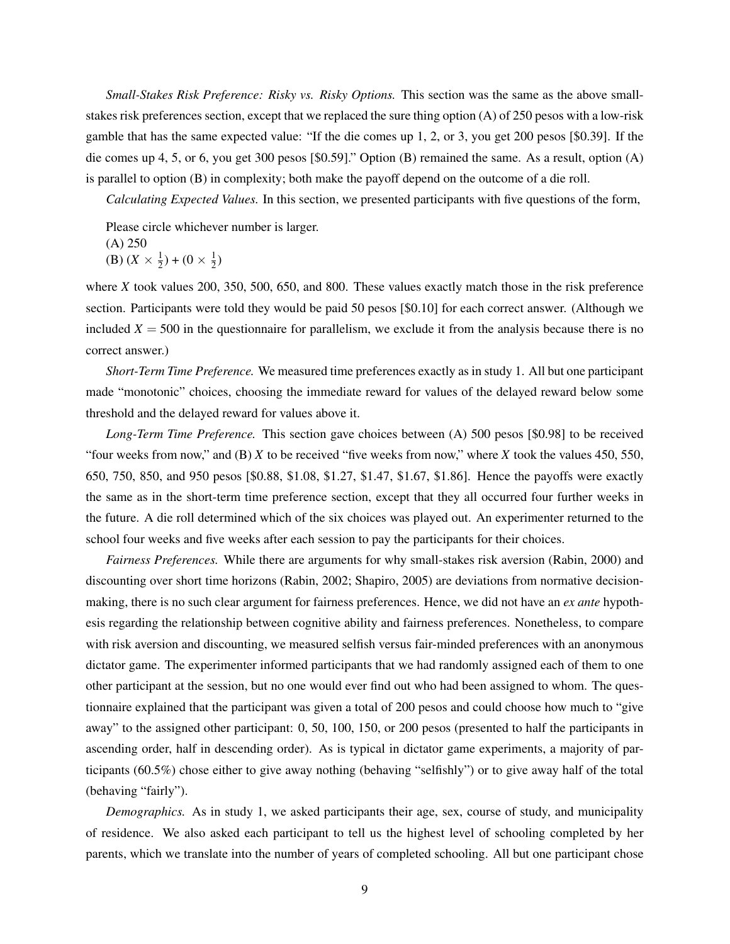*Small-Stakes Risk Preference: Risky vs. Risky Options.* This section was the same as the above smallstakes risk preferences section, except that we replaced the sure thing option (A) of 250 pesos with a low-risk gamble that has the same expected value: "If the die comes up 1, 2, or 3, you get 200 pesos [\$0.39]. If the die comes up 4, 5, or 6, you get 300 pesos [\$0.59]." Option (B) remained the same. As a result, option (A) is parallel to option (B) in complexity; both make the payoff depend on the outcome of a die roll.

*Calculating Expected Values.* In this section, we presented participants with five questions of the form,

Please circle whichever number is larger. (A) 250 (B) ( $X \times \frac{1}{2}$  $(\frac{1}{2}) + (0 \times \frac{1}{2})$  $(\frac{1}{2})$ 

where *X* took values 200, 350, 500, 650, and 800. These values exactly match those in the risk preference section. Participants were told they would be paid 50 pesos [\$0.10] for each correct answer. (Although we included  $X = 500$  in the questionnaire for parallelism, we exclude it from the analysis because there is no correct answer.)

*Short-Term Time Preference.* We measured time preferences exactly as in study 1. All but one participant made "monotonic" choices, choosing the immediate reward for values of the delayed reward below some threshold and the delayed reward for values above it.

*Long-Term Time Preference.* This section gave choices between (A) 500 pesos [\$0.98] to be received "four weeks from now," and (B) *X* to be received "five weeks from now," where *X* took the values 450, 550, 650, 750, 850, and 950 pesos [\$0.88, \$1.08, \$1.27, \$1.47, \$1.67, \$1.86]. Hence the payoffs were exactly the same as in the short-term time preference section, except that they all occurred four further weeks in the future. A die roll determined which of the six choices was played out. An experimenter returned to the school four weeks and five weeks after each session to pay the participants for their choices.

*Fairness Preferences.* While there are arguments for why small-stakes risk aversion (Rabin, 2000) and discounting over short time horizons (Rabin, 2002; Shapiro, 2005) are deviations from normative decisionmaking, there is no such clear argument for fairness preferences. Hence, we did not have an *ex ante* hypothesis regarding the relationship between cognitive ability and fairness preferences. Nonetheless, to compare with risk aversion and discounting, we measured selfish versus fair-minded preferences with an anonymous dictator game. The experimenter informed participants that we had randomly assigned each of them to one other participant at the session, but no one would ever find out who had been assigned to whom. The questionnaire explained that the participant was given a total of 200 pesos and could choose how much to "give away" to the assigned other participant: 0, 50, 100, 150, or 200 pesos (presented to half the participants in ascending order, half in descending order). As is typical in dictator game experiments, a majority of participants (60.5%) chose either to give away nothing (behaving "selfishly") or to give away half of the total (behaving "fairly").

*Demographics.* As in study 1, we asked participants their age, sex, course of study, and municipality of residence. We also asked each participant to tell us the highest level of schooling completed by her parents, which we translate into the number of years of completed schooling. All but one participant chose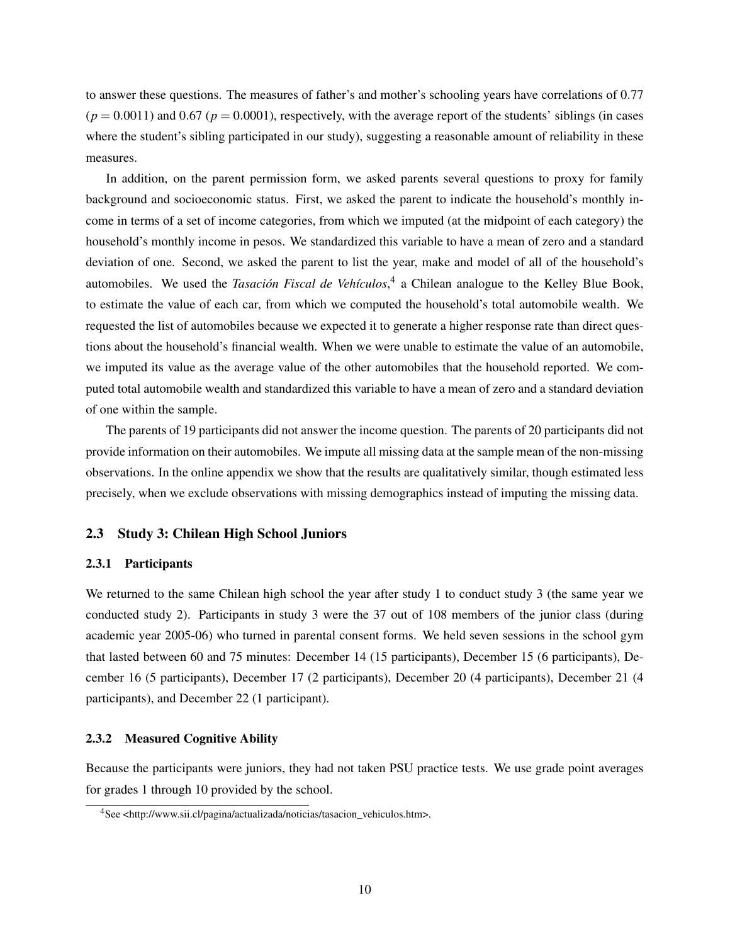to answer these questions. The measures of father's and mother's schooling years have correlations of 0.77  $(p = 0.0011)$  and 0.67 ( $p = 0.0001$ ), respectively, with the average report of the students' siblings (in cases where the student's sibling participated in our study), suggesting a reasonable amount of reliability in these measures.

In addition, on the parent permission form, we asked parents several questions to proxy for family background and socioeconomic status. First, we asked the parent to indicate the household's monthly income in terms of a set of income categories, from which we imputed (at the midpoint of each category) the household's monthly income in pesos. We standardized this variable to have a mean of zero and a standard deviation of one. Second, we asked the parent to list the year, make and model of all of the household's automobiles. We used the *Tasación Fiscal de Vehículos*, 4 a Chilean analogue to the Kelley Blue Book, to estimate the value of each car, from which we computed the household's total automobile wealth. We requested the list of automobiles because we expected it to generate a higher response rate than direct questions about the household's financial wealth. When we were unable to estimate the value of an automobile, we imputed its value as the average value of the other automobiles that the household reported. We computed total automobile wealth and standardized this variable to have a mean of zero and a standard deviation of one within the sample.

The parents of 19 participants did not answer the income question. The parents of 20 participants did not provide information on their automobiles. We impute all missing data at the sample mean of the non-missing observations. In the online appendix we show that the results are qualitatively similar, though estimated less precisely, when we exclude observations with missing demographics instead of imputing the missing data.

## 2.3 Study 3: Chilean High School Juniors

#### 2.3.1 Participants

We returned to the same Chilean high school the year after study 1 to conduct study 3 (the same year we conducted study 2). Participants in study 3 were the 37 out of 108 members of the junior class (during academic year 2005-06) who turned in parental consent forms. We held seven sessions in the school gym that lasted between 60 and 75 minutes: December 14 (15 participants), December 15 (6 participants), December 16 (5 participants), December 17 (2 participants), December 20 (4 participants), December 21 (4 participants), and December 22 (1 participant).

## 2.3.2 Measured Cognitive Ability

Because the participants were juniors, they had not taken PSU practice tests. We use grade point averages for grades 1 through 10 provided by the school.

<sup>4</sup>See <http://www.sii.cl/pagina/actualizada/noticias/tasacion\_vehiculos.htm>.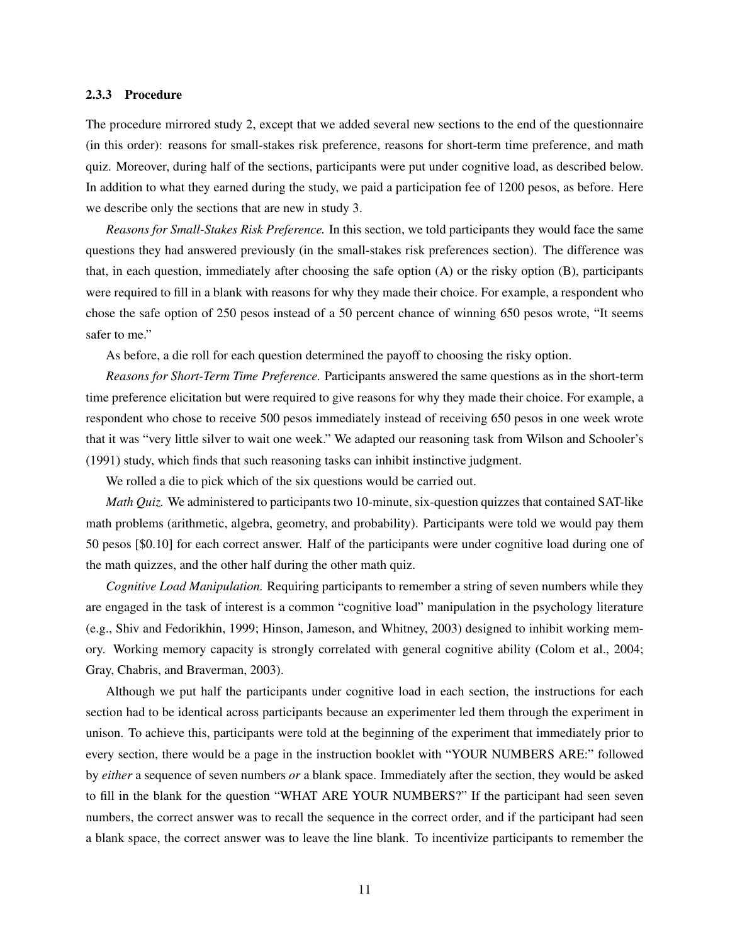#### 2.3.3 Procedure

The procedure mirrored study 2, except that we added several new sections to the end of the questionnaire (in this order): reasons for small-stakes risk preference, reasons for short-term time preference, and math quiz. Moreover, during half of the sections, participants were put under cognitive load, as described below. In addition to what they earned during the study, we paid a participation fee of 1200 pesos, as before. Here we describe only the sections that are new in study 3.

*Reasons for Small-Stakes Risk Preference.* In this section, we told participants they would face the same questions they had answered previously (in the small-stakes risk preferences section). The difference was that, in each question, immediately after choosing the safe option (A) or the risky option (B), participants were required to fill in a blank with reasons for why they made their choice. For example, a respondent who chose the safe option of 250 pesos instead of a 50 percent chance of winning 650 pesos wrote, "It seems safer to me."

As before, a die roll for each question determined the payoff to choosing the risky option.

*Reasons for Short-Term Time Preference.* Participants answered the same questions as in the short-term time preference elicitation but were required to give reasons for why they made their choice. For example, a respondent who chose to receive 500 pesos immediately instead of receiving 650 pesos in one week wrote that it was "very little silver to wait one week." We adapted our reasoning task from Wilson and Schooler's (1991) study, which finds that such reasoning tasks can inhibit instinctive judgment.

We rolled a die to pick which of the six questions would be carried out.

*Math Quiz.* We administered to participants two 10-minute, six-question quizzes that contained SAT-like math problems (arithmetic, algebra, geometry, and probability). Participants were told we would pay them 50 pesos [\$0.10] for each correct answer. Half of the participants were under cognitive load during one of the math quizzes, and the other half during the other math quiz.

*Cognitive Load Manipulation.* Requiring participants to remember a string of seven numbers while they are engaged in the task of interest is a common "cognitive load" manipulation in the psychology literature (e.g., Shiv and Fedorikhin, 1999; Hinson, Jameson, and Whitney, 2003) designed to inhibit working memory. Working memory capacity is strongly correlated with general cognitive ability (Colom et al., 2004; Gray, Chabris, and Braverman, 2003).

Although we put half the participants under cognitive load in each section, the instructions for each section had to be identical across participants because an experimenter led them through the experiment in unison. To achieve this, participants were told at the beginning of the experiment that immediately prior to every section, there would be a page in the instruction booklet with "YOUR NUMBERS ARE:" followed by *either* a sequence of seven numbers *or* a blank space. Immediately after the section, they would be asked to fill in the blank for the question "WHAT ARE YOUR NUMBERS?" If the participant had seen seven numbers, the correct answer was to recall the sequence in the correct order, and if the participant had seen a blank space, the correct answer was to leave the line blank. To incentivize participants to remember the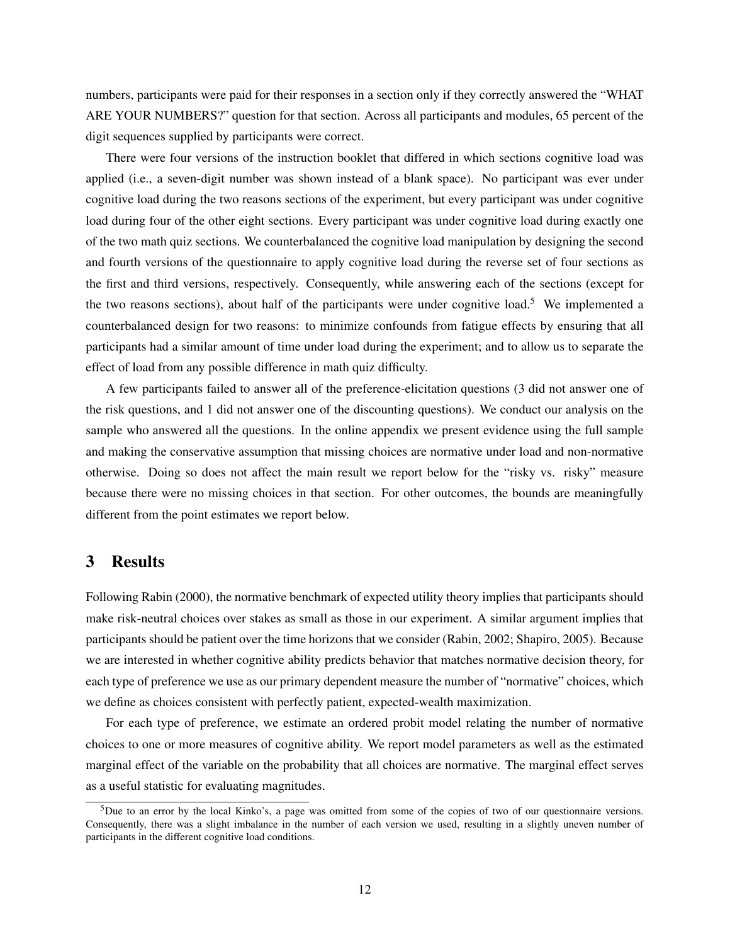numbers, participants were paid for their responses in a section only if they correctly answered the "WHAT ARE YOUR NUMBERS?" question for that section. Across all participants and modules, 65 percent of the digit sequences supplied by participants were correct.

There were four versions of the instruction booklet that differed in which sections cognitive load was applied (i.e., a seven-digit number was shown instead of a blank space). No participant was ever under cognitive load during the two reasons sections of the experiment, but every participant was under cognitive load during four of the other eight sections. Every participant was under cognitive load during exactly one of the two math quiz sections. We counterbalanced the cognitive load manipulation by designing the second and fourth versions of the questionnaire to apply cognitive load during the reverse set of four sections as the first and third versions, respectively. Consequently, while answering each of the sections (except for the two reasons sections), about half of the participants were under cognitive load.<sup>5</sup> We implemented a counterbalanced design for two reasons: to minimize confounds from fatigue effects by ensuring that all participants had a similar amount of time under load during the experiment; and to allow us to separate the effect of load from any possible difference in math quiz difficulty.

A few participants failed to answer all of the preference-elicitation questions (3 did not answer one of the risk questions, and 1 did not answer one of the discounting questions). We conduct our analysis on the sample who answered all the questions. In the online appendix we present evidence using the full sample and making the conservative assumption that missing choices are normative under load and non-normative otherwise. Doing so does not affect the main result we report below for the "risky vs. risky" measure because there were no missing choices in that section. For other outcomes, the bounds are meaningfully different from the point estimates we report below.

# 3 Results

Following Rabin (2000), the normative benchmark of expected utility theory implies that participants should make risk-neutral choices over stakes as small as those in our experiment. A similar argument implies that participants should be patient over the time horizons that we consider (Rabin, 2002; Shapiro, 2005). Because we are interested in whether cognitive ability predicts behavior that matches normative decision theory, for each type of preference we use as our primary dependent measure the number of "normative" choices, which we define as choices consistent with perfectly patient, expected-wealth maximization.

For each type of preference, we estimate an ordered probit model relating the number of normative choices to one or more measures of cognitive ability. We report model parameters as well as the estimated marginal effect of the variable on the probability that all choices are normative. The marginal effect serves as a useful statistic for evaluating magnitudes.

 $<sup>5</sup>$ Due to an error by the local Kinko's, a page was omitted from some of the copies of two of our questionnaire versions.</sup> Consequently, there was a slight imbalance in the number of each version we used, resulting in a slightly uneven number of participants in the different cognitive load conditions.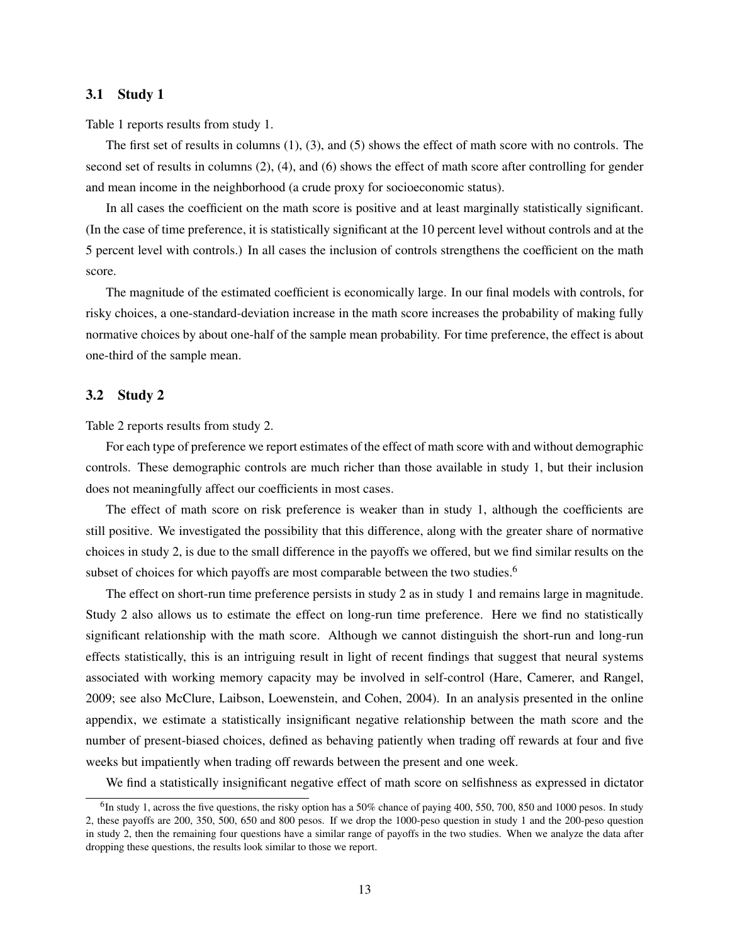#### 3.1 Study 1

Table 1 reports results from study 1.

The first set of results in columns (1), (3), and (5) shows the effect of math score with no controls. The second set of results in columns (2), (4), and (6) shows the effect of math score after controlling for gender and mean income in the neighborhood (a crude proxy for socioeconomic status).

In all cases the coefficient on the math score is positive and at least marginally statistically significant. (In the case of time preference, it is statistically significant at the 10 percent level without controls and at the 5 percent level with controls.) In all cases the inclusion of controls strengthens the coefficient on the math score.

The magnitude of the estimated coefficient is economically large. In our final models with controls, for risky choices, a one-standard-deviation increase in the math score increases the probability of making fully normative choices by about one-half of the sample mean probability. For time preference, the effect is about one-third of the sample mean.

### 3.2 Study 2

Table 2 reports results from study 2.

For each type of preference we report estimates of the effect of math score with and without demographic controls. These demographic controls are much richer than those available in study 1, but their inclusion does not meaningfully affect our coefficients in most cases.

The effect of math score on risk preference is weaker than in study 1, although the coefficients are still positive. We investigated the possibility that this difference, along with the greater share of normative choices in study 2, is due to the small difference in the payoffs we offered, but we find similar results on the subset of choices for which payoffs are most comparable between the two studies.<sup>6</sup>

The effect on short-run time preference persists in study 2 as in study 1 and remains large in magnitude. Study 2 also allows us to estimate the effect on long-run time preference. Here we find no statistically significant relationship with the math score. Although we cannot distinguish the short-run and long-run effects statistically, this is an intriguing result in light of recent findings that suggest that neural systems associated with working memory capacity may be involved in self-control (Hare, Camerer, and Rangel, 2009; see also McClure, Laibson, Loewenstein, and Cohen, 2004). In an analysis presented in the online appendix, we estimate a statistically insignificant negative relationship between the math score and the number of present-biased choices, defined as behaving patiently when trading off rewards at four and five weeks but impatiently when trading off rewards between the present and one week.

We find a statistically insignificant negative effect of math score on selfishness as expressed in dictator

 ${}^{6}$ In study 1, across the five questions, the risky option has a 50% chance of paying 400, 550, 700, 850 and 1000 pesos. In study 2, these payoffs are 200, 350, 500, 650 and 800 pesos. If we drop the 1000-peso question in study 1 and the 200-peso question in study 2, then the remaining four questions have a similar range of payoffs in the two studies. When we analyze the data after dropping these questions, the results look similar to those we report.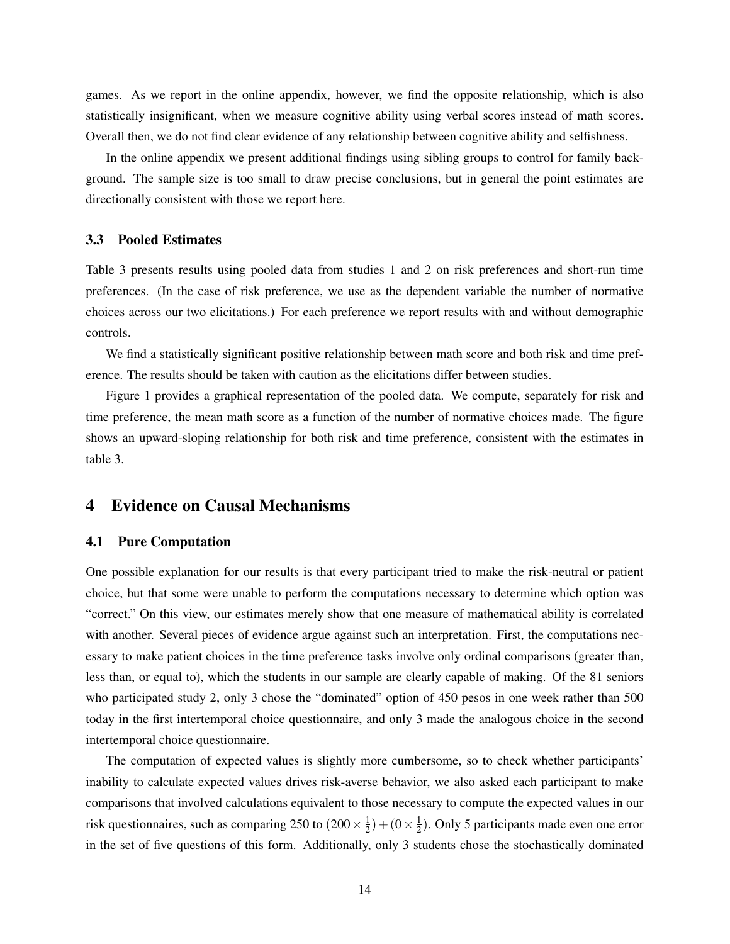games. As we report in the online appendix, however, we find the opposite relationship, which is also statistically insignificant, when we measure cognitive ability using verbal scores instead of math scores. Overall then, we do not find clear evidence of any relationship between cognitive ability and selfishness.

In the online appendix we present additional findings using sibling groups to control for family background. The sample size is too small to draw precise conclusions, but in general the point estimates are directionally consistent with those we report here.

#### 3.3 Pooled Estimates

Table 3 presents results using pooled data from studies 1 and 2 on risk preferences and short-run time preferences. (In the case of risk preference, we use as the dependent variable the number of normative choices across our two elicitations.) For each preference we report results with and without demographic controls.

We find a statistically significant positive relationship between math score and both risk and time preference. The results should be taken with caution as the elicitations differ between studies.

Figure 1 provides a graphical representation of the pooled data. We compute, separately for risk and time preference, the mean math score as a function of the number of normative choices made. The figure shows an upward-sloping relationship for both risk and time preference, consistent with the estimates in table 3.

# 4 Evidence on Causal Mechanisms

#### 4.1 Pure Computation

One possible explanation for our results is that every participant tried to make the risk-neutral or patient choice, but that some were unable to perform the computations necessary to determine which option was "correct." On this view, our estimates merely show that one measure of mathematical ability is correlated with another. Several pieces of evidence argue against such an interpretation. First, the computations necessary to make patient choices in the time preference tasks involve only ordinal comparisons (greater than, less than, or equal to), which the students in our sample are clearly capable of making. Of the 81 seniors who participated study 2, only 3 chose the "dominated" option of 450 pesos in one week rather than 500 today in the first intertemporal choice questionnaire, and only 3 made the analogous choice in the second intertemporal choice questionnaire.

The computation of expected values is slightly more cumbersome, so to check whether participants' inability to calculate expected values drives risk-averse behavior, we also asked each participant to make comparisons that involved calculations equivalent to those necessary to compute the expected values in our risk questionnaires, such as comparing 250 to  $(200 \times \frac{1}{2})$  $(\frac{1}{2}) + (0 \times \frac{1}{2})$  $\frac{1}{2}$ ). Only 5 participants made even one error in the set of five questions of this form. Additionally, only 3 students chose the stochastically dominated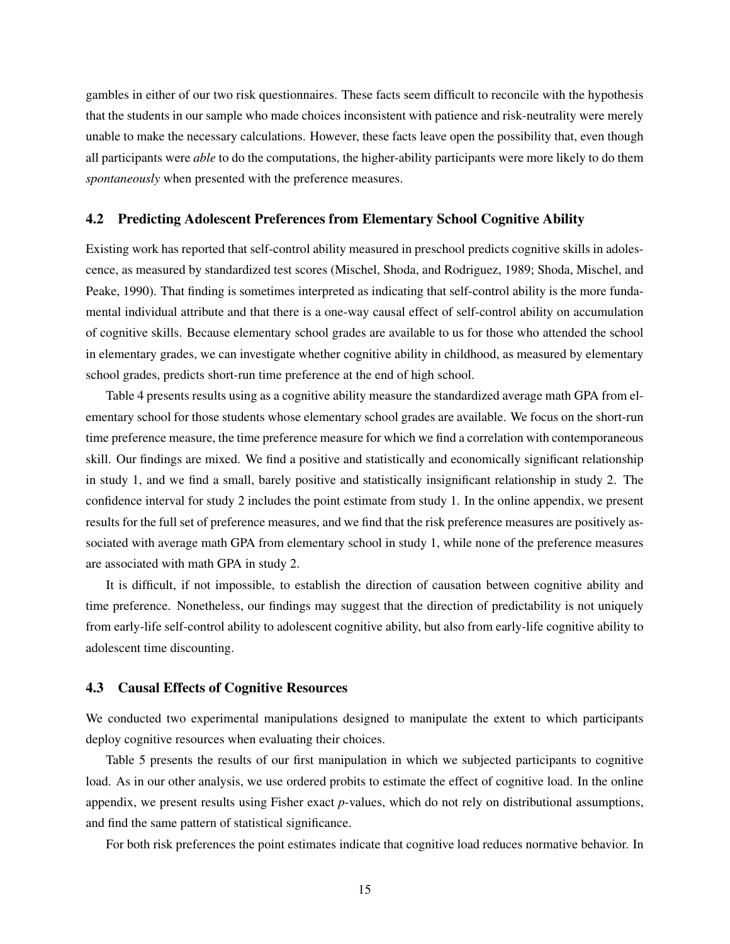gambles in either of our two risk questionnaires. These facts seem difficult to reconcile with the hypothesis that the students in our sample who made choices inconsistent with patience and risk-neutrality were merely unable to make the necessary calculations. However, these facts leave open the possibility that, even though all participants were *able* to do the computations, the higher-ability participants were more likely to do them *spontaneously* when presented with the preference measures.

## 4.2 Predicting Adolescent Preferences from Elementary School Cognitive Ability

Existing work has reported that self-control ability measured in preschool predicts cognitive skills in adolescence, as measured by standardized test scores (Mischel, Shoda, and Rodriguez, 1989; Shoda, Mischel, and Peake, 1990). That finding is sometimes interpreted as indicating that self-control ability is the more fundamental individual attribute and that there is a one-way causal effect of self-control ability on accumulation of cognitive skills. Because elementary school grades are available to us for those who attended the school in elementary grades, we can investigate whether cognitive ability in childhood, as measured by elementary school grades, predicts short-run time preference at the end of high school.

Table 4 presents results using as a cognitive ability measure the standardized average math GPA from elementary school for those students whose elementary school grades are available. We focus on the short-run time preference measure, the time preference measure for which we find a correlation with contemporaneous skill. Our findings are mixed. We find a positive and statistically and economically significant relationship in study 1, and we find a small, barely positive and statistically insignificant relationship in study 2. The confidence interval for study 2 includes the point estimate from study 1. In the online appendix, we present results for the full set of preference measures, and we find that the risk preference measures are positively associated with average math GPA from elementary school in study 1, while none of the preference measures are associated with math GPA in study 2.

It is difficult, if not impossible, to establish the direction of causation between cognitive ability and time preference. Nonetheless, our findings may suggest that the direction of predictability is not uniquely from early-life self-control ability to adolescent cognitive ability, but also from early-life cognitive ability to adolescent time discounting.

## 4.3 Causal Effects of Cognitive Resources

We conducted two experimental manipulations designed to manipulate the extent to which participants deploy cognitive resources when evaluating their choices.

Table 5 presents the results of our first manipulation in which we subjected participants to cognitive load. As in our other analysis, we use ordered probits to estimate the effect of cognitive load. In the online appendix, we present results using Fisher exact *p*-values, which do not rely on distributional assumptions, and find the same pattern of statistical significance.

For both risk preferences the point estimates indicate that cognitive load reduces normative behavior. In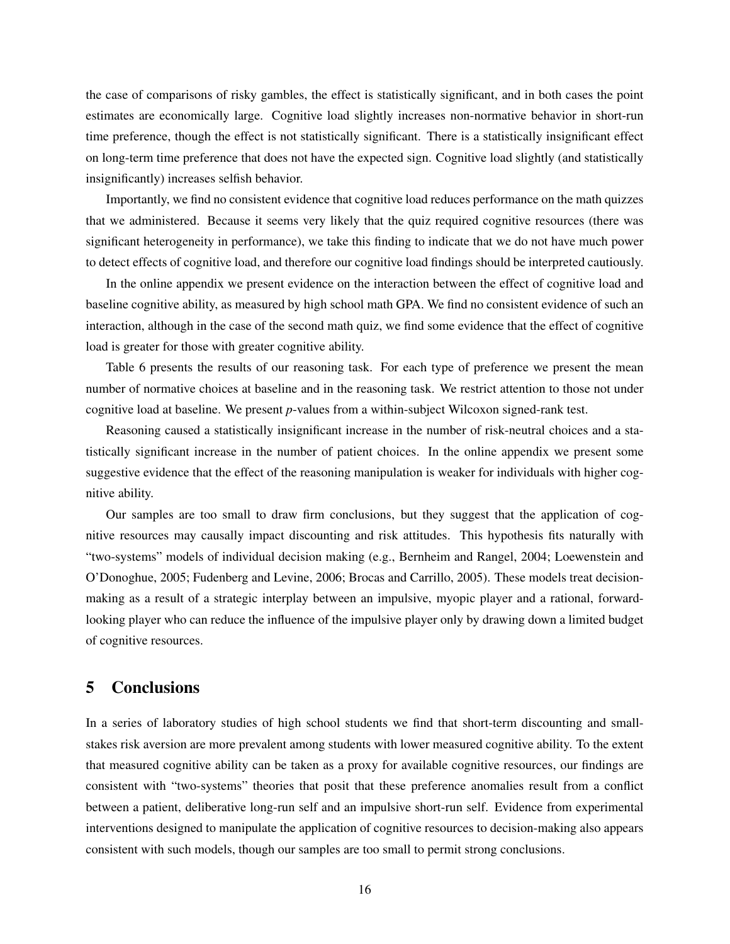the case of comparisons of risky gambles, the effect is statistically significant, and in both cases the point estimates are economically large. Cognitive load slightly increases non-normative behavior in short-run time preference, though the effect is not statistically significant. There is a statistically insignificant effect on long-term time preference that does not have the expected sign. Cognitive load slightly (and statistically insignificantly) increases selfish behavior.

Importantly, we find no consistent evidence that cognitive load reduces performance on the math quizzes that we administered. Because it seems very likely that the quiz required cognitive resources (there was significant heterogeneity in performance), we take this finding to indicate that we do not have much power to detect effects of cognitive load, and therefore our cognitive load findings should be interpreted cautiously.

In the online appendix we present evidence on the interaction between the effect of cognitive load and baseline cognitive ability, as measured by high school math GPA. We find no consistent evidence of such an interaction, although in the case of the second math quiz, we find some evidence that the effect of cognitive load is greater for those with greater cognitive ability.

Table 6 presents the results of our reasoning task. For each type of preference we present the mean number of normative choices at baseline and in the reasoning task. We restrict attention to those not under cognitive load at baseline. We present *p*-values from a within-subject Wilcoxon signed-rank test.

Reasoning caused a statistically insignificant increase in the number of risk-neutral choices and a statistically significant increase in the number of patient choices. In the online appendix we present some suggestive evidence that the effect of the reasoning manipulation is weaker for individuals with higher cognitive ability.

Our samples are too small to draw firm conclusions, but they suggest that the application of cognitive resources may causally impact discounting and risk attitudes. This hypothesis fits naturally with "two-systems" models of individual decision making (e.g., Bernheim and Rangel, 2004; Loewenstein and O'Donoghue, 2005; Fudenberg and Levine, 2006; Brocas and Carrillo, 2005). These models treat decisionmaking as a result of a strategic interplay between an impulsive, myopic player and a rational, forwardlooking player who can reduce the influence of the impulsive player only by drawing down a limited budget of cognitive resources.

# 5 Conclusions

In a series of laboratory studies of high school students we find that short-term discounting and smallstakes risk aversion are more prevalent among students with lower measured cognitive ability. To the extent that measured cognitive ability can be taken as a proxy for available cognitive resources, our findings are consistent with "two-systems" theories that posit that these preference anomalies result from a conflict between a patient, deliberative long-run self and an impulsive short-run self. Evidence from experimental interventions designed to manipulate the application of cognitive resources to decision-making also appears consistent with such models, though our samples are too small to permit strong conclusions.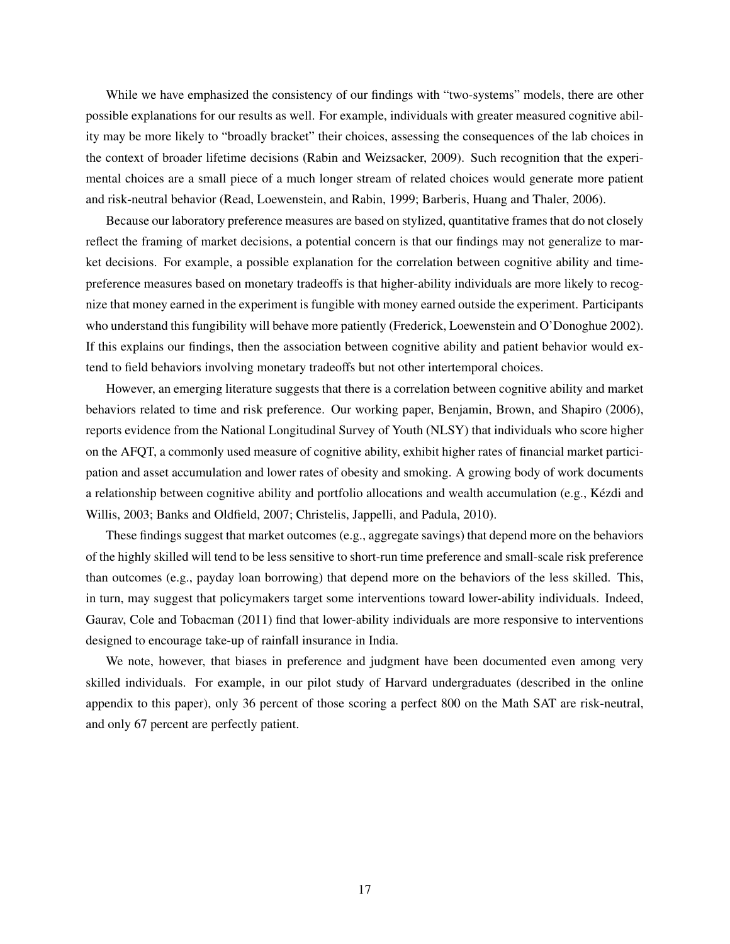While we have emphasized the consistency of our findings with "two-systems" models, there are other possible explanations for our results as well. For example, individuals with greater measured cognitive ability may be more likely to "broadly bracket" their choices, assessing the consequences of the lab choices in the context of broader lifetime decisions (Rabin and Weizsacker, 2009). Such recognition that the experimental choices are a small piece of a much longer stream of related choices would generate more patient and risk-neutral behavior (Read, Loewenstein, and Rabin, 1999; Barberis, Huang and Thaler, 2006).

Because our laboratory preference measures are based on stylized, quantitative frames that do not closely reflect the framing of market decisions, a potential concern is that our findings may not generalize to market decisions. For example, a possible explanation for the correlation between cognitive ability and timepreference measures based on monetary tradeoffs is that higher-ability individuals are more likely to recognize that money earned in the experiment is fungible with money earned outside the experiment. Participants who understand this fungibility will behave more patiently (Frederick, Loewenstein and O'Donoghue 2002). If this explains our findings, then the association between cognitive ability and patient behavior would extend to field behaviors involving monetary tradeoffs but not other intertemporal choices.

However, an emerging literature suggests that there is a correlation between cognitive ability and market behaviors related to time and risk preference. Our working paper, Benjamin, Brown, and Shapiro (2006), reports evidence from the National Longitudinal Survey of Youth (NLSY) that individuals who score higher on the AFQT, a commonly used measure of cognitive ability, exhibit higher rates of financial market participation and asset accumulation and lower rates of obesity and smoking. A growing body of work documents a relationship between cognitive ability and portfolio allocations and wealth accumulation (e.g., Kézdi and Willis, 2003; Banks and Oldfield, 2007; Christelis, Jappelli, and Padula, 2010).

These findings suggest that market outcomes (e.g., aggregate savings) that depend more on the behaviors of the highly skilled will tend to be less sensitive to short-run time preference and small-scale risk preference than outcomes (e.g., payday loan borrowing) that depend more on the behaviors of the less skilled. This, in turn, may suggest that policymakers target some interventions toward lower-ability individuals. Indeed, Gaurav, Cole and Tobacman (2011) find that lower-ability individuals are more responsive to interventions designed to encourage take-up of rainfall insurance in India.

We note, however, that biases in preference and judgment have been documented even among very skilled individuals. For example, in our pilot study of Harvard undergraduates (described in the online appendix to this paper), only 36 percent of those scoring a perfect 800 on the Math SAT are risk-neutral, and only 67 percent are perfectly patient.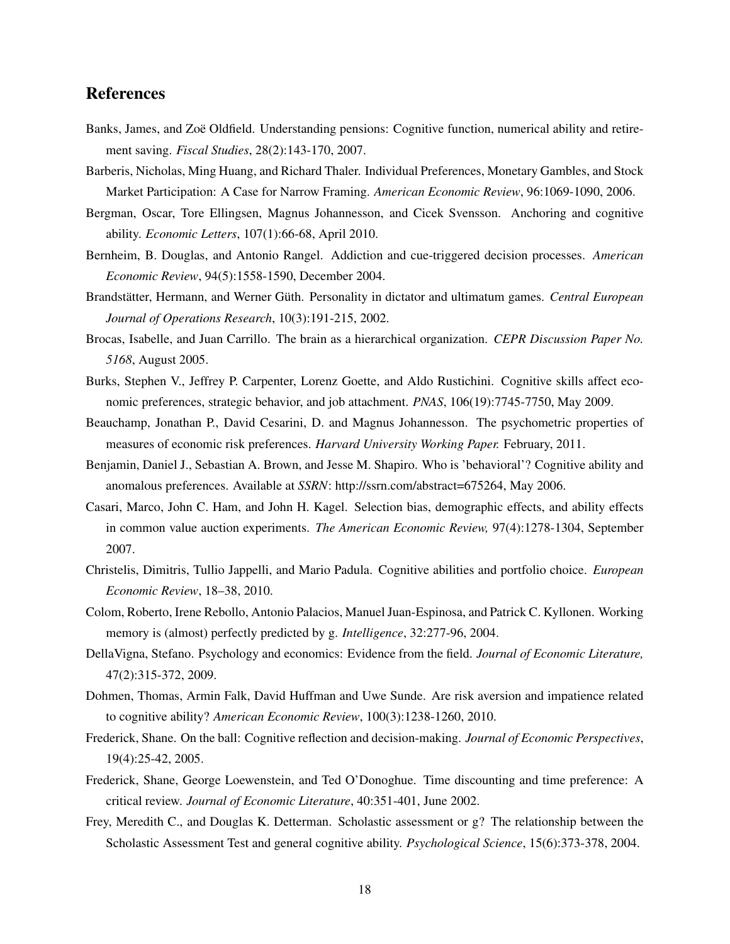# References

- Banks, James, and Zoë Oldfield. Understanding pensions: Cognitive function, numerical ability and retirement saving. *Fiscal Studies*, 28(2):143-170, 2007.
- Barberis, Nicholas, Ming Huang, and Richard Thaler. Individual Preferences, Monetary Gambles, and Stock Market Participation: A Case for Narrow Framing. *American Economic Review*, 96:1069-1090, 2006.
- Bergman, Oscar, Tore Ellingsen, Magnus Johannesson, and Cicek Svensson. Anchoring and cognitive ability. *Economic Letters*, 107(1):66-68, April 2010.
- Bernheim, B. Douglas, and Antonio Rangel. Addiction and cue-triggered decision processes. *American Economic Review*, 94(5):1558-1590, December 2004.
- Brandstätter, Hermann, and Werner Güth. Personality in dictator and ultimatum games. *Central European Journal of Operations Research*, 10(3):191-215, 2002.
- Brocas, Isabelle, and Juan Carrillo. The brain as a hierarchical organization. *CEPR Discussion Paper No. 5168*, August 2005.
- Burks, Stephen V., Jeffrey P. Carpenter, Lorenz Goette, and Aldo Rustichini. Cognitive skills affect economic preferences, strategic behavior, and job attachment. *PNAS*, 106(19):7745-7750, May 2009.
- Beauchamp, Jonathan P., David Cesarini, D. and Magnus Johannesson. The psychometric properties of measures of economic risk preferences. *Harvard University Working Paper.* February, 2011.
- Benjamin, Daniel J., Sebastian A. Brown, and Jesse M. Shapiro. Who is 'behavioral'? Cognitive ability and anomalous preferences. Available at *SSRN*: http://ssrn.com/abstract=675264, May 2006.
- Casari, Marco, John C. Ham, and John H. Kagel. Selection bias, demographic effects, and ability effects in common value auction experiments. *The American Economic Review,* 97(4):1278-1304, September 2007.
- Christelis, Dimitris, Tullio Jappelli, and Mario Padula. Cognitive abilities and portfolio choice. *European Economic Review*, 18–38, 2010.
- Colom, Roberto, Irene Rebollo, Antonio Palacios, Manuel Juan-Espinosa, and Patrick C. Kyllonen. Working memory is (almost) perfectly predicted by g. *Intelligence*, 32:277-96, 2004.
- DellaVigna, Stefano. Psychology and economics: Evidence from the field. *Journal of Economic Literature,* 47(2):315-372, 2009.
- Dohmen, Thomas, Armin Falk, David Huffman and Uwe Sunde. Are risk aversion and impatience related to cognitive ability? *American Economic Review*, 100(3):1238-1260, 2010.
- Frederick, Shane. On the ball: Cognitive reflection and decision-making. *Journal of Economic Perspectives*, 19(4):25-42, 2005.
- Frederick, Shane, George Loewenstein, and Ted O'Donoghue. Time discounting and time preference: A critical review. *Journal of Economic Literature*, 40:351-401, June 2002.
- Frey, Meredith C., and Douglas K. Detterman. Scholastic assessment or g? The relationship between the Scholastic Assessment Test and general cognitive ability. *Psychological Science*, 15(6):373-378, 2004.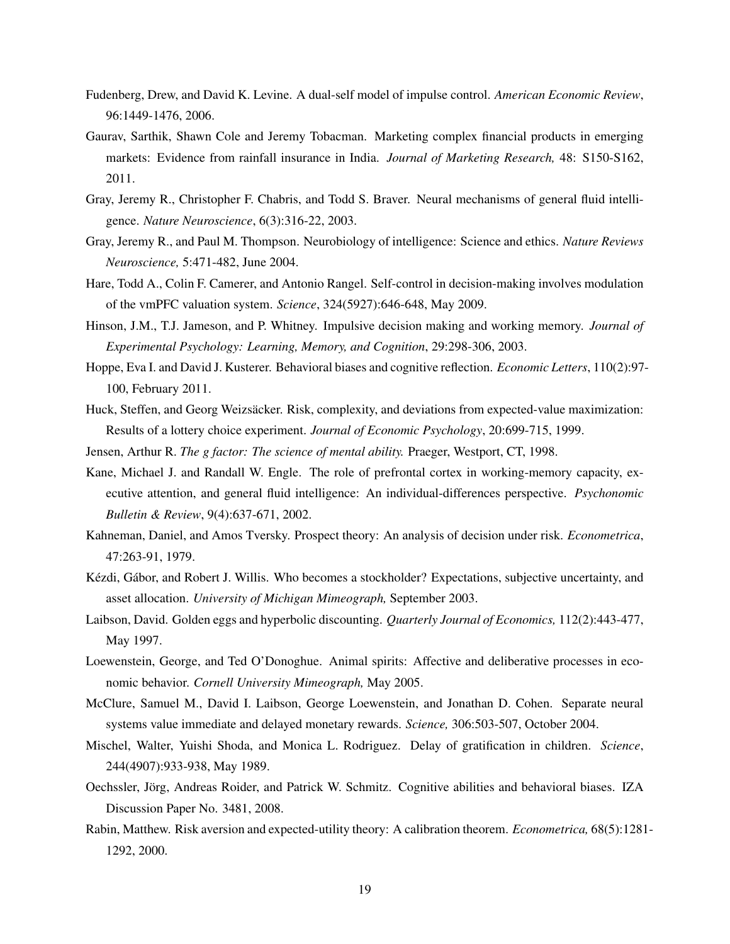- Fudenberg, Drew, and David K. Levine. A dual-self model of impulse control. *American Economic Review*, 96:1449-1476, 2006.
- Gaurav, Sarthik, Shawn Cole and Jeremy Tobacman. Marketing complex financial products in emerging markets: Evidence from rainfall insurance in India. *Journal of Marketing Research,* 48: S150-S162, 2011.
- Gray, Jeremy R., Christopher F. Chabris, and Todd S. Braver. Neural mechanisms of general fluid intelligence. *Nature Neuroscience*, 6(3):316-22, 2003.
- Gray, Jeremy R., and Paul M. Thompson. Neurobiology of intelligence: Science and ethics. *Nature Reviews Neuroscience,* 5:471-482, June 2004.
- Hare, Todd A., Colin F. Camerer, and Antonio Rangel. Self-control in decision-making involves modulation of the vmPFC valuation system. *Science*, 324(5927):646-648, May 2009.
- Hinson, J.M., T.J. Jameson, and P. Whitney. Impulsive decision making and working memory. *Journal of Experimental Psychology: Learning, Memory, and Cognition*, 29:298-306, 2003.
- Hoppe, Eva I. and David J. Kusterer. Behavioral biases and cognitive reflection. *Economic Letters*, 110(2):97- 100, February 2011.
- Huck, Steffen, and Georg Weizsäcker. Risk, complexity, and deviations from expected-value maximization: Results of a lottery choice experiment. *Journal of Economic Psychology*, 20:699-715, 1999.
- Jensen, Arthur R. *The g factor: The science of mental ability.* Praeger, Westport, CT, 1998.
- Kane, Michael J. and Randall W. Engle. The role of prefrontal cortex in working-memory capacity, executive attention, and general fluid intelligence: An individual-differences perspective. *Psychonomic Bulletin & Review*, 9(4):637-671, 2002.
- Kahneman, Daniel, and Amos Tversky. Prospect theory: An analysis of decision under risk. *Econometrica*, 47:263-91, 1979.
- Kézdi, Gábor, and Robert J. Willis. Who becomes a stockholder? Expectations, subjective uncertainty, and asset allocation. *University of Michigan Mimeograph,* September 2003.
- Laibson, David. Golden eggs and hyperbolic discounting. *Quarterly Journal of Economics,* 112(2):443-477, May 1997.
- Loewenstein, George, and Ted O'Donoghue. Animal spirits: Affective and deliberative processes in economic behavior. *Cornell University Mimeograph,* May 2005.
- McClure, Samuel M., David I. Laibson, George Loewenstein, and Jonathan D. Cohen. Separate neural systems value immediate and delayed monetary rewards. *Science,* 306:503-507, October 2004.
- Mischel, Walter, Yuishi Shoda, and Monica L. Rodriguez. Delay of gratification in children. *Science*, 244(4907):933-938, May 1989.
- Oechssler, Jörg, Andreas Roider, and Patrick W. Schmitz. Cognitive abilities and behavioral biases. IZA Discussion Paper No. 3481, 2008.
- Rabin, Matthew. Risk aversion and expected-utility theory: A calibration theorem. *Econometrica,* 68(5):1281- 1292, 2000.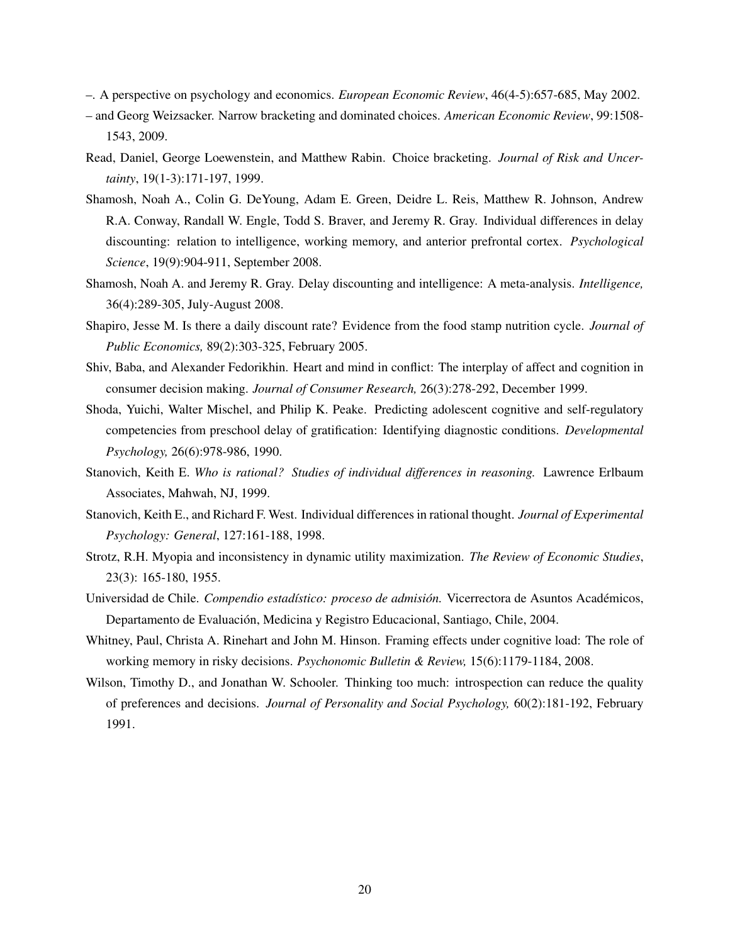- –. A perspective on psychology and economics. *European Economic Review*, 46(4-5):657-685, May 2002.
- and Georg Weizsacker. Narrow bracketing and dominated choices. *American Economic Review*, 99:1508- 1543, 2009.
- Read, Daniel, George Loewenstein, and Matthew Rabin. Choice bracketing. *Journal of Risk and Uncertainty*, 19(1-3):171-197, 1999.
- Shamosh, Noah A., Colin G. DeYoung, Adam E. Green, Deidre L. Reis, Matthew R. Johnson, Andrew R.A. Conway, Randall W. Engle, Todd S. Braver, and Jeremy R. Gray. Individual differences in delay discounting: relation to intelligence, working memory, and anterior prefrontal cortex. *Psychological Science*, 19(9):904-911, September 2008.
- Shamosh, Noah A. and Jeremy R. Gray. Delay discounting and intelligence: A meta-analysis. *Intelligence,* 36(4):289-305, July-August 2008.
- Shapiro, Jesse M. Is there a daily discount rate? Evidence from the food stamp nutrition cycle. *Journal of Public Economics,* 89(2):303-325, February 2005.
- Shiv, Baba, and Alexander Fedorikhin. Heart and mind in conflict: The interplay of affect and cognition in consumer decision making. *Journal of Consumer Research,* 26(3):278-292, December 1999.
- Shoda, Yuichi, Walter Mischel, and Philip K. Peake. Predicting adolescent cognitive and self-regulatory competencies from preschool delay of gratification: Identifying diagnostic conditions. *Developmental Psychology,* 26(6):978-986, 1990.
- Stanovich, Keith E. *Who is rational? Studies of individual differences in reasoning.* Lawrence Erlbaum Associates, Mahwah, NJ, 1999.
- Stanovich, Keith E., and Richard F. West. Individual differences in rational thought. *Journal of Experimental Psychology: General*, 127:161-188, 1998.
- Strotz, R.H. Myopia and inconsistency in dynamic utility maximization. *The Review of Economic Studies*, 23(3): 165-180, 1955.
- Universidad de Chile. *Compendio estadístico: proceso de admisión.* Vicerrectora de Asuntos Académicos, Departamento de Evaluación, Medicina y Registro Educacional, Santiago, Chile, 2004.
- Whitney, Paul, Christa A. Rinehart and John M. Hinson. Framing effects under cognitive load: The role of working memory in risky decisions. *Psychonomic Bulletin & Review,* 15(6):1179-1184, 2008.
- Wilson, Timothy D., and Jonathan W. Schooler. Thinking too much: introspection can reduce the quality of preferences and decisions. *Journal of Personality and Social Psychology,* 60(2):181-192, February 1991.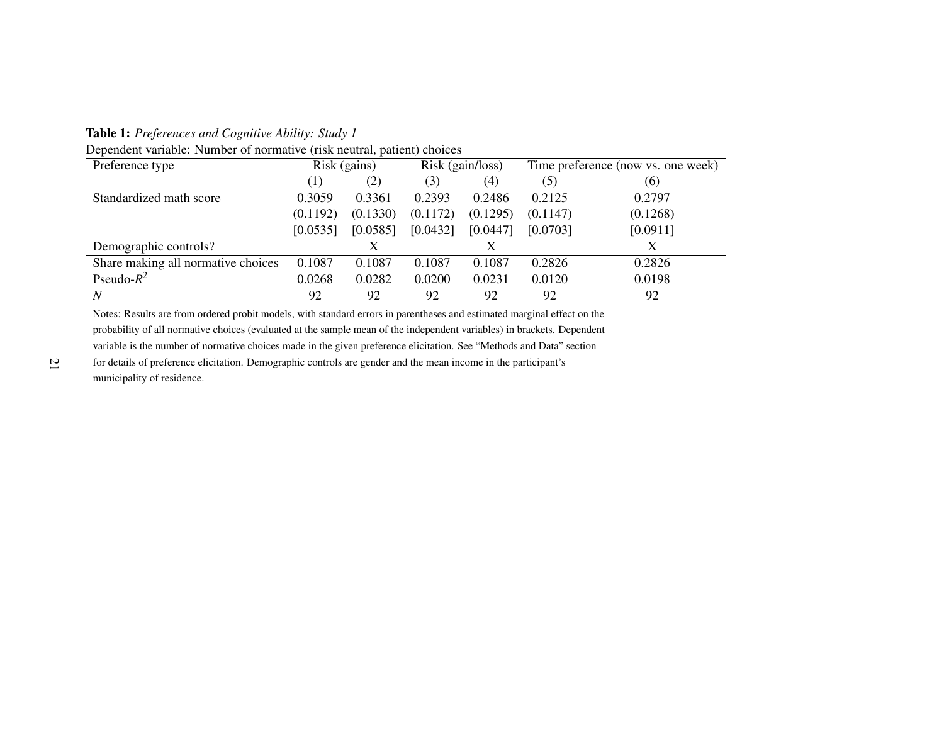Table 1: *Preferences and Cognitive Ability: Study <sup>1</sup>*

|  |  |  | Dependent variable: Number of normative (risk neutral, patient) choices |  |  |
|--|--|--|-------------------------------------------------------------------------|--|--|
|  |  |  |                                                                         |  |  |

| Preference type                    |          | Risk (gains) |          | Risk (gain/loss) | Time preference (now vs. one week) |          |  |
|------------------------------------|----------|--------------|----------|------------------|------------------------------------|----------|--|
|                                    | (1)      | (2)          | (3)      | (4)              | (5)                                | (6)      |  |
| Standardized math score            | 0.3059   | 0.3361       | 0.2393   | 0.2486           | 0.2125                             | 0.2797   |  |
|                                    | (0.1192) | (0.1330)     | (0.1172) | (0.1295)         | (0.1147)                           | (0.1268) |  |
|                                    | [0.0535] | [0.0585]     | [0.0432] | [0.0447]         | [0.0703]                           | [0.0911] |  |
| Demographic controls?              |          |              |          |                  |                                    | X        |  |
| Share making all normative choices | 0.1087   | 0.1087       | 0.1087   | 0.1087           | 0.2826                             | 0.2826   |  |
| Pseudo- $R^2$                      | 0.0268   | 0.0282       | 0.0200   | 0.0231           | 0.0120                             | 0.0198   |  |
| $\overline{N}$                     | 92       | 92           | 92       | 92               | 92                                 | 92       |  |

Notes: Results are from ordered probit models, with standard errors in parentheses and estimated marginal effect on the probability of all normative choices (evaluated at the sample mean of the independent variables) in brackets. Dependentvariable is the number of normative choices made in the given preference elicitation. See "Methods and Data" sectionfor details of preference elicitation. Demographic controls are gender and the mean income in the participant'smunicipality of residence.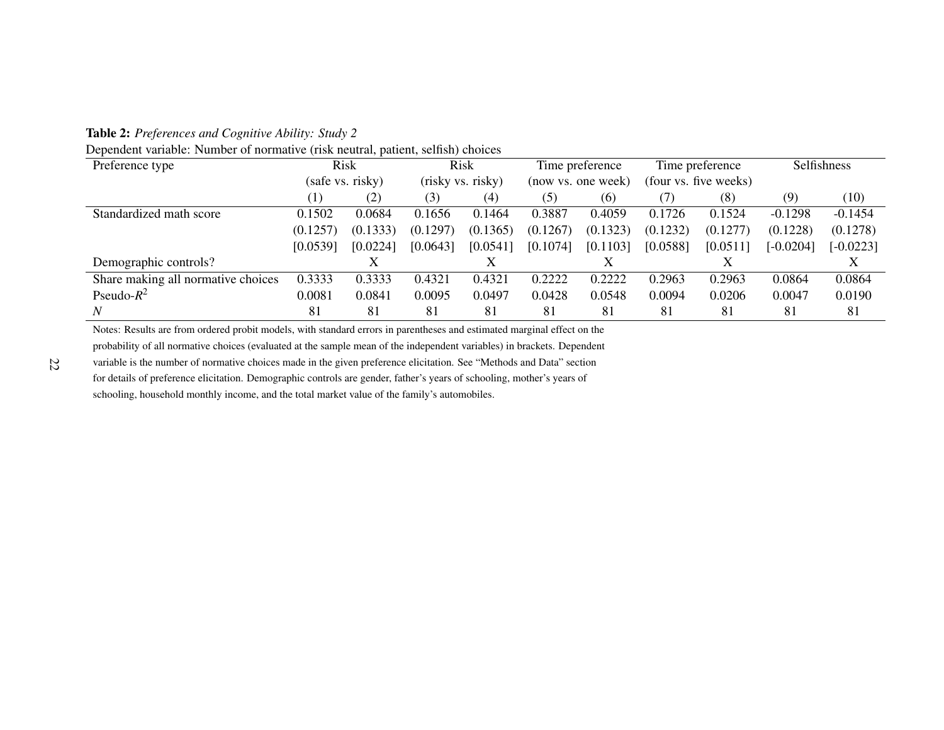Table 2: *Preferences and Cognitive Ability: Study <sup>2</sup>*

| Preference type                    | Risk     |                  | Risk     |                   | Time preference |                    | Time preference |                       | <b>Selfishness</b> |             |
|------------------------------------|----------|------------------|----------|-------------------|-----------------|--------------------|-----------------|-----------------------|--------------------|-------------|
|                                    |          | (safe vs. risky) |          | (risky vs. risky) |                 | (now vs. one week) |                 | (four vs. five weeks) |                    |             |
|                                    | $\Box$   | (2)              | (3)      | (4)               | (5)             | (6)                | (7)             | (8)                   | (9)                | (10)        |
| Standardized math score            | 0.1502   | 0.0684           | 0.1656   | 0.1464            | 0.3887          | 0.4059             | 0.1726          | 0.1524                | $-0.1298$          | $-0.1454$   |
|                                    | (0.1257) | (0.1333)         | (0.1297) | (0.1365)          | (0.1267)        | (0.1323)           | (0.1232)        | (0.1277)              | (0.1228)           | (0.1278)    |
|                                    | [0.0539] | [0.0224]         | [0.0643] | [0.0541]          | [0.1074]        | [0.1103]           | [0.0588]        | [0.0511]              | $[-0.0204]$        | $[-0.0223]$ |
| Demographic controls?              |          |                  |          |                   |                 |                    |                 |                       |                    | Х           |
| Share making all normative choices | 0.3333   | 0.3333           | 0.4321   | 0.4321            | 0.2222          | 0.2222             | 0.2963          | 0.2963                | 0.0864             | 0.0864      |
| Pseudo- $R^2$                      | 0.0081   | 0.0841           | 0.0095   | 0.0497            | 0.0428          | 0.0548             | 0.0094          | 0.0206                | 0.0047             | 0.0190      |
| N                                  | 81       | 81               | 81       | 81                | 81              | 81                 | 81              | 81                    | 81                 | 81          |

Notes: Results are from ordered probit models, with standard errors in parentheses and estimated marginal effect on theprobability of all normative choices (evaluated at the sample mean of the independent variables) in brackets. Dependent

variable is the number of normative choices made in the given preference elicitation. See "Methods and Data" section

for details of preference elicitation. Demographic controls are gender, father's years of schooling, mother's years of

schooling, household monthly income, and the total market value of the family's automobiles.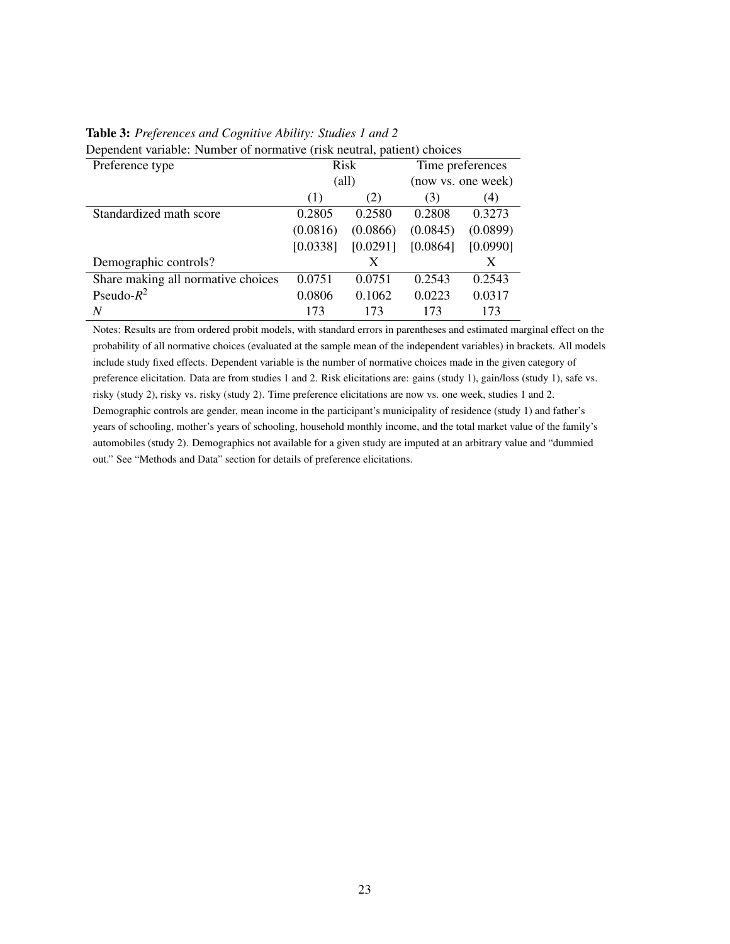| Preference type                    |                | <b>Risk</b> | Time preferences |                    |  |
|------------------------------------|----------------|-------------|------------------|--------------------|--|
|                                    | $\text{(all)}$ |             |                  | (now vs. one week) |  |
|                                    | (1)            | (2)         | (3)              | (4)                |  |
| Standardized math score            | 0.2805         | 0.2580      | 0.2808           | 0.3273             |  |
|                                    | (0.0816)       | (0.0866)    | (0.0845)         | (0.0899)           |  |
|                                    | [0.0338]       | [0.0291]    | [0.0864]         | [0.0990]           |  |
| Demographic controls?              |                | X           |                  | X                  |  |
| Share making all normative choices | 0.0751         | 0.0751      | 0.2543           | 0.2543             |  |
| Pseudo- $R^2$                      | 0.0806         | 0.1062      | 0.0223           | 0.0317             |  |
| N                                  | 173            | 173         | 173              | 173                |  |

Table 3: *Preferences and Cognitive Ability: Studies 1 and 2* Dependent variable: Number of normative (risk neutral, patient) choices

Notes: Results are from ordered probit models, with standard errors in parentheses and estimated marginal effect on the probability of all normative choices (evaluated at the sample mean of the independent variables) in brackets. All models include study fixed effects. Dependent variable is the number of normative choices made in the given category of preference elicitation. Data are from studies 1 and 2. Risk elicitations are: gains (study 1), gain/loss (study 1), safe vs. risky (study 2), risky vs. risky (study 2). Time preference elicitations are now vs. one week, studies 1 and 2. Demographic controls are gender, mean income in the participant's municipality of residence (study 1) and father's years of schooling, mother's years of schooling, household monthly income, and the total market value of the family's automobiles (study 2). Demographics not available for a given study are imputed at an arbitrary value and "dummied out." See "Methods and Data" section for details of preference elicitations.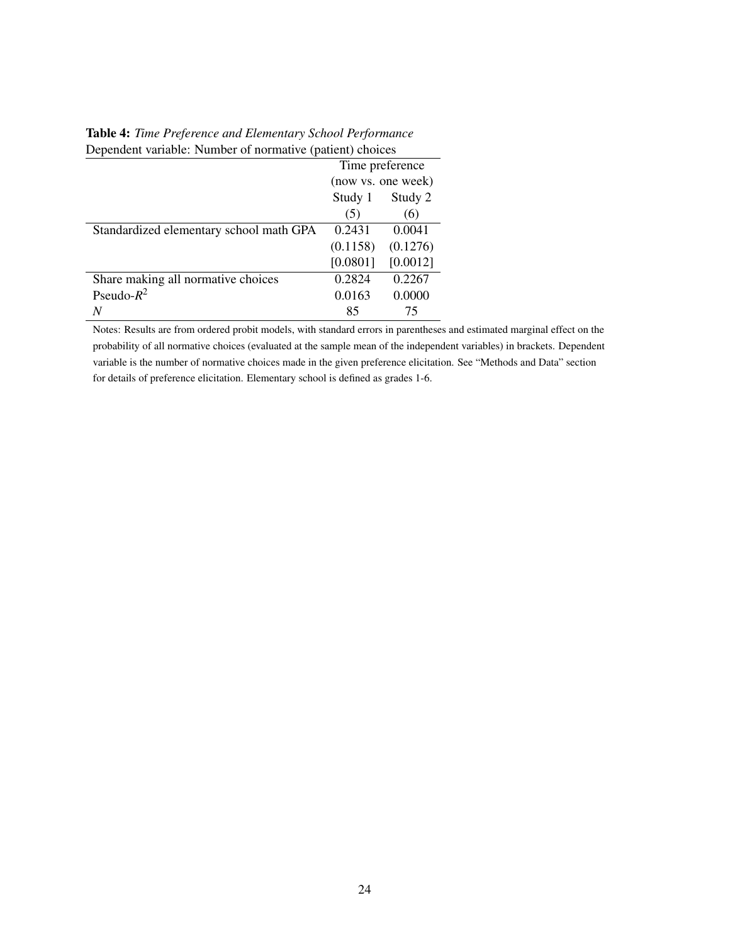|          | Time preference    |
|----------|--------------------|
|          | (now vs. one week) |
| Study 1  | Study 2            |
| (5)      | (6)                |
| 0.2431   | 0.0041             |
| (0.1158) | (0.1276)           |
| [0.0801] | [0.0012]           |
| 0.2824   | 0.2267             |
| 0.0163   | 0.0000             |
| 85       | 75                 |
|          | $\mu$              |

Table 4: *Time Preference and Elementary School Performance* Dependent variable: Number of normative (patient) choices

Notes: Results are from ordered probit models, with standard errors in parentheses and estimated marginal effect on the probability of all normative choices (evaluated at the sample mean of the independent variables) in brackets. Dependent variable is the number of normative choices made in the given preference elicitation. See "Methods and Data" section for details of preference elicitation. Elementary school is defined as grades 1-6.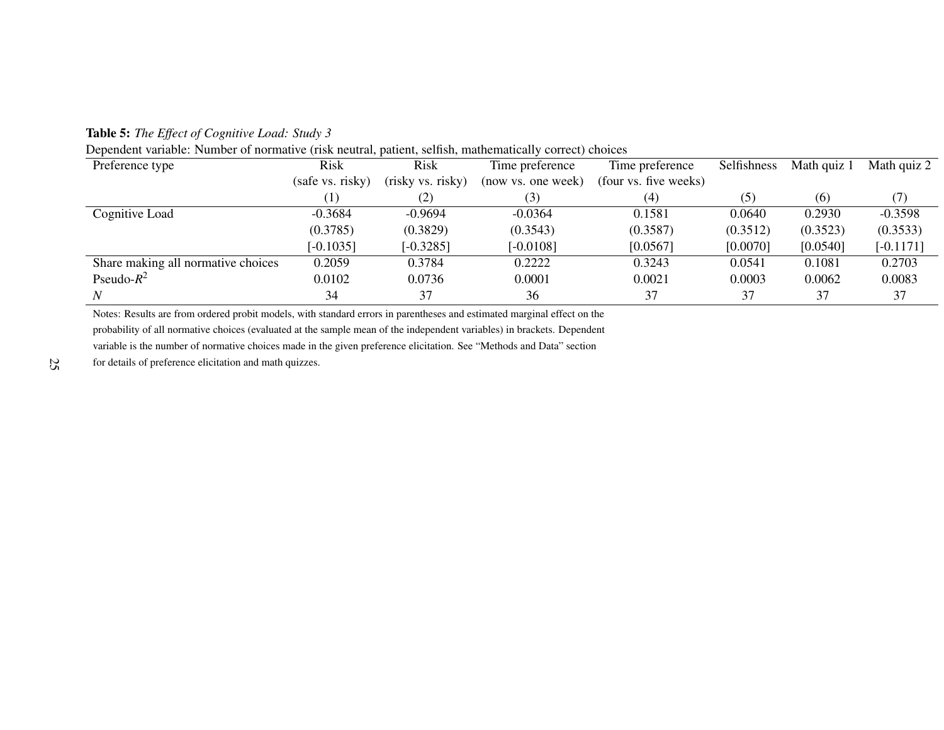Table 5: *The Effect of Cognitive Load: Study <sup>3</sup>*

Dependent variable: Number of normative (risk neutral, patient, selfish, mathematically correct) choices

| Preference type                    | Risk             | <b>Risk</b>       | Time preference    | Time preference       | Selfishness | Math quiz 1 | Math quiz 2 |
|------------------------------------|------------------|-------------------|--------------------|-----------------------|-------------|-------------|-------------|
|                                    | (safe vs. risky) | (risky vs. risky) | (now vs. one week) | (four vs. five weeks) |             |             |             |
|                                    | (1)              | (2)               | (3)                | (4)                   | (5)         | (6)         | (7)         |
| Cognitive Load                     | $-0.3684$        | $-0.9694$         | $-0.0364$          | 0.1581                | 0.0640      | 0.2930      | $-0.3598$   |
|                                    | (0.3785)         | (0.3829)          | (0.3543)           | (0.3587)              | (0.3512)    | (0.3523)    | (0.3533)    |
|                                    | $[-0.1035]$      | $[-0.3285]$       | $[-0.0108]$        | [0.0567]              | [0.0070]    | [0.0540]    | $[-0.1171]$ |
| Share making all normative choices | 0.2059           | 0.3784            | 0.2222             | 0.3243                | 0.0541      | 0.1081      | 0.2703      |
| Pseudo- $R^2$                      | 0.0102           | 0.0736            | 0.0001             | 0.0021                | 0.0003      | 0.0062      | 0.0083      |
|                                    | 34               | 37                | 36                 | 37                    | 37          | 37          | 37          |

Notes: Results are from ordered probit models, with standard errors in parentheses and estimated marginal effect on the probability of all normative choices (evaluated at the sample mean of the independent variables) in brackets. Dependentvariable is the number of normative choices made in the given preference elicitation. See "Methods and Data" section

for details of preference elicitation and math quizzes.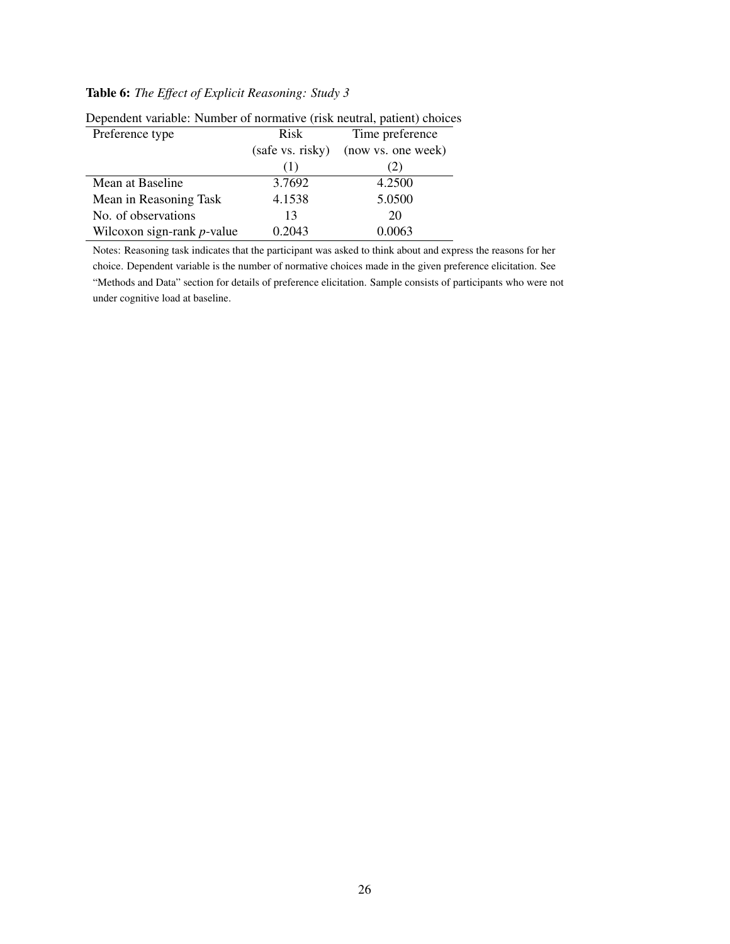# Table 6: *The Effect of Explicit Reasoning: Study 3*

| Preference type               | <b>Risk</b>      | Time preference    |  |  |
|-------------------------------|------------------|--------------------|--|--|
|                               | (safe vs. risky) | (now vs. one week) |  |  |
|                               | (1)              | (2)                |  |  |
| Mean at Baseline              | 3.7692           | 4.2500             |  |  |
| Mean in Reasoning Task        | 4.1538           | 5.0500             |  |  |
| No. of observations           | 13               | 20                 |  |  |
| Wilcoxon sign-rank $p$ -value | 0.2043           | 0.0063             |  |  |

Dependent variable: Number of normative (risk neutral, patient) choices

Notes: Reasoning task indicates that the participant was asked to think about and express the reasons for her choice. Dependent variable is the number of normative choices made in the given preference elicitation. See "Methods and Data" section for details of preference elicitation. Sample consists of participants who were not under cognitive load at baseline.